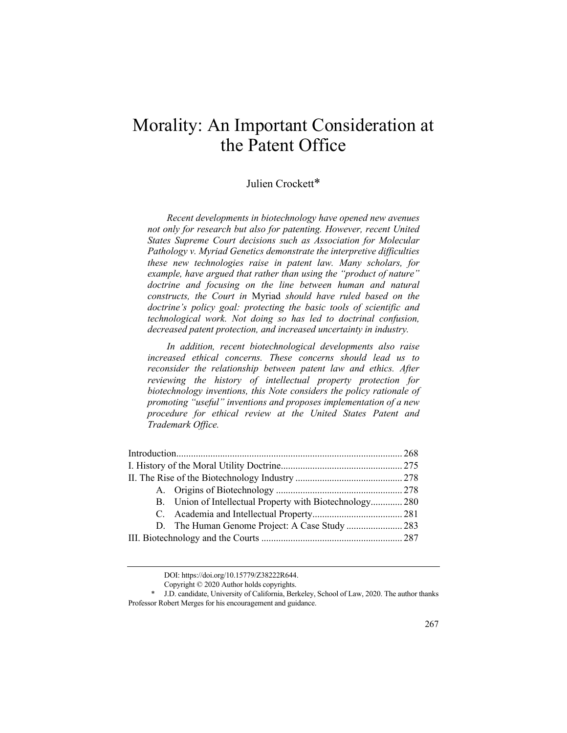# Morality: An Important Consideration at the Patent Office

# Julien Crockett\*

*Recent developments in biotechnology have opened new avenues not only for research but also for patenting. However, recent United States Supreme Court decisions such as Association for Molecular Pathology v. Myriad Genetics demonstrate the interpretive difficulties these new technologies raise in patent law. Many scholars, for example, have argued that rather than using the "product of nature" doctrine and focusing on the line between human and natural constructs, the Court in* Myriad *should have ruled based on the doctrine's policy goal: protecting the basic tools of scientific and technological work. Not doing so has led to doctrinal confusion, decreased patent protection, and increased uncertainty in industry.*

*In addition, recent biotechnological developments also raise increased ethical concerns. These concerns should lead us to reconsider the relationship between patent law and ethics. After reviewing the history of intellectual property protection for biotechnology inventions, this Note considers the policy rationale of promoting "useful" inventions and proposes implementation of a new procedure for ethical review at the United States Patent and Trademark Office.*

|  | B. Union of Intellectual Property with Biotechnology 280 |  |
|--|----------------------------------------------------------|--|
|  |                                                          |  |
|  |                                                          |  |
|  |                                                          |  |
|  |                                                          |  |

DOI: https://doi.org/10.15779/Z38222R644.

Copyright © 2020 Author holds copyrights.

<sup>\*</sup> J.D. candidate, University of California, Berkeley, School of Law, 2020. The author thanks Professor Robert Merges for his encouragement and guidance.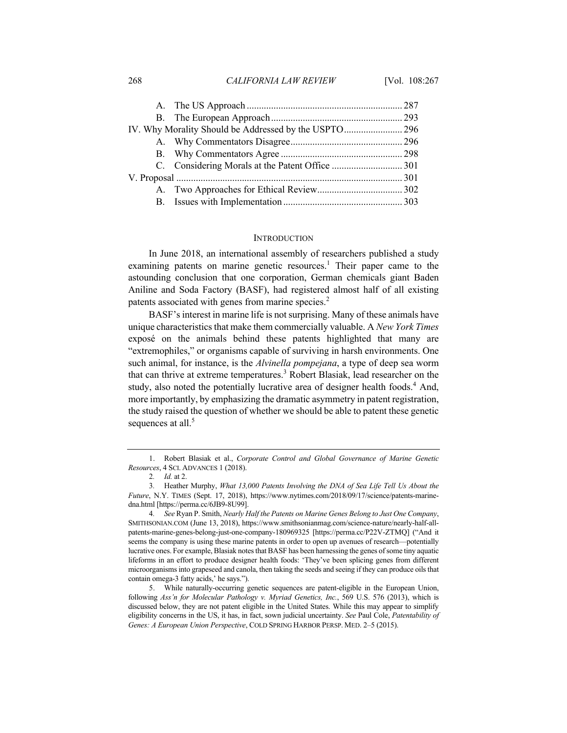268 *CALIFORNIA LAW REVIEW* [Vol. 108:267

#### **INTRODUCTION**

In June 2018, an international assembly of researchers published a study examining patents on marine genetic resources.<sup>1</sup> Their paper came to the astounding conclusion that one corporation, German chemicals giant Baden Aniline and Soda Factory (BASF), had registered almost half of all existing patents associated with genes from marine species.<sup>2</sup>

BASF's interest in marine life is not surprising. Many of these animals have unique characteristics that make them commercially valuable. A *New York Times* exposé on the animals behind these patents highlighted that many are "extremophiles," or organisms capable of surviving in harsh environments. One such animal, for instance, is the *Alvinella pompejana*, a type of deep sea worm that can thrive at extreme temperatures.<sup>3</sup> Robert Blasiak, lead researcher on the study, also noted the potentially lucrative area of designer health foods.<sup>4</sup> And, more importantly, by emphasizing the dramatic asymmetry in patent registration, the study raised the question of whether we should be able to patent these genetic sequences at all.<sup>5</sup>

<sup>1.</sup> Robert Blasiak et al., *Corporate Control and Global Governance of Marine Genetic Resources*, 4 SCI. ADVANCES 1 (2018).

<sup>2</sup>*. Id.* at 2.

<sup>3</sup>*.* Heather Murphy, *What 13,000 Patents Involving the DNA of Sea Life Tell Us About the Future*, N.Y. TIMES (Sept. 17, 2018), https://www.nytimes.com/2018/09/17/science/patents-marinedna.html [https://perma.cc/6JB9-8U99].

<sup>4</sup>*. See* Ryan P. Smith, *Nearly Half the Patents on Marine Genes Belong to Just One Company*, SMITHSONIAN.COM (June 13, 2018), https://www.smithsonianmag.com/science-nature/nearly-half-allpatents-marine-genes-belong-just-one-company-180969325 [https://perma.cc/P22V-ZTMQ] ("And it seems the company is using these marine patents in order to open up avenues of research—potentially lucrative ones. For example, Blasiak notes that BASF has been harnessing the genes of some tiny aquatic lifeforms in an effort to produce designer health foods: 'They've been splicing genes from different microorganisms into grapeseed and canola, then taking the seeds and seeing if they can produce oils that contain omega-3 fatty acids,' he says.").

<sup>5.</sup> While naturally-occurring genetic sequences are patent-eligible in the European Union, following *Ass'n for Molecular Pathology v. Myriad Genetics, Inc.*, 569 U.S. 576 (2013), which is discussed below, they are not patent eligible in the United States. While this may appear to simplify eligibility concerns in the US, it has, in fact, sown judicial uncertainty. *See* Paul Cole, *Patentability of Genes: A European Union Perspective*, COLD SPRING HARBOR PERSP. MED. 2–5 (2015).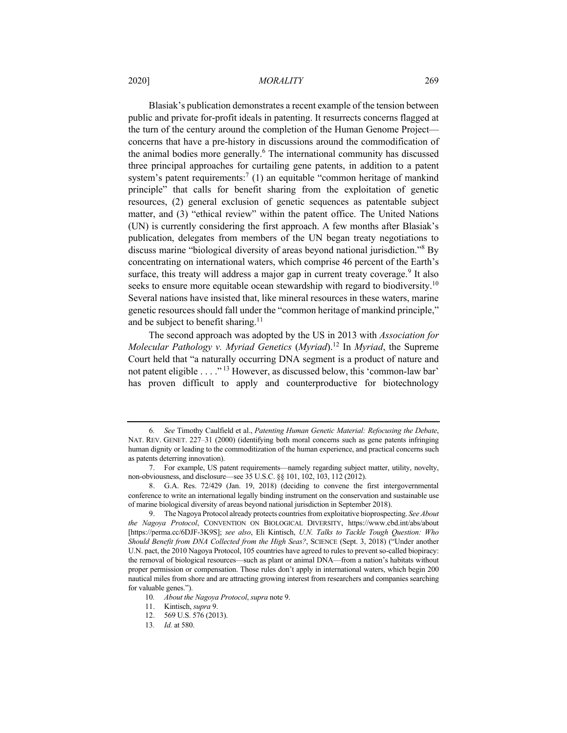#### 2020] *MORALITY* 269

Blasiak's publication demonstrates a recent example of the tension between public and private for-profit ideals in patenting. It resurrects concerns flagged at the turn of the century around the completion of the Human Genome Project concerns that have a pre-history in discussions around the commodification of the animal bodies more generally.<sup>6</sup> The international community has discussed three principal approaches for curtailing gene patents, in addition to a patent system's patent requirements:<sup>7</sup> (1) an equitable "common heritage of mankind principle" that calls for benefit sharing from the exploitation of genetic resources, (2) general exclusion of genetic sequences as patentable subject matter, and (3) "ethical review" within the patent office. The United Nations (UN) is currently considering the first approach. A few months after Blasiak's publication, delegates from members of the UN began treaty negotiations to discuss marine "biological diversity of areas beyond national jurisdiction."<sup>8</sup> By concentrating on international waters, which comprise 46 percent of the Earth's surface, this treaty will address a major gap in current treaty coverage.<sup>9</sup> It also seeks to ensure more equitable ocean stewardship with regard to biodiversity.<sup>10</sup> Several nations have insisted that, like mineral resources in these waters, marine genetic resources should fall under the "common heritage of mankind principle," and be subject to benefit sharing.<sup>11</sup>

The second approach was adopted by the US in 2013 with *Association for Molecular Pathology v. Myriad Genetics* (*Myriad*).<sup>12</sup> In *Myriad*, the Supreme Court held that "a naturally occurring DNA segment is a product of nature and not patent eligible . . . ." <sup>13</sup> However, as discussed below, this 'common-law bar' has proven difficult to apply and counterproductive for biotechnology

<sup>6</sup>*. See* Timothy Caulfield et al., *Patenting Human Genetic Material: Refocusing the Debate*, NAT. REV. GENET. 227–31 (2000) (identifying both moral concerns such as gene patents infringing human dignity or leading to the commoditization of the human experience, and practical concerns such as patents deterring innovation).

<sup>7.</sup> For example, US patent requirements—namely regarding subject matter, utility, novelty, non-obviousness, and disclosure—see 35 U.S.C. §§ 101, 102, 103, 112 (2012).

<sup>8.</sup> G.A. Res. 72/429 (Jan. 19, 2018) (deciding to convene the first intergovernmental conference to write an international legally binding instrument on the conservation and sustainable use of marine biological diversity of areas beyond national jurisdiction in September 2018).

<sup>9.</sup> The Nagoya Protocol already protects countries from exploitative bioprospecting. *See About the Nagoya Protocol*, CONVENTION ON BIOLOGICAL DIVERSITY, https://www.cbd.int/abs/about [https://perma.cc/6DJF-3K9S]; *see also*, Eli Kintisch, *U.N. Talks to Tackle Tough Question: Who Should Benefit from DNA Collected from the High Seas?*, SCIENCE (Sept. 3, 2018) ("Under another U.N. pact, the 2010 Nagoya Protocol, 105 countries have agreed to rules to prevent so-called biopiracy: the removal of biological resources—such as plant or animal DNA—from a nation's habitats without proper permission or compensation. Those rules don't apply in international waters, which begin 200 nautical miles from shore and are attracting growing interest from researchers and companies searching for valuable genes.").

<sup>10</sup>*. About the Nagoya Protocol*, *supra* note 9.

<sup>11.</sup> Kintisch, *supra* 9.

<sup>12.</sup> 569 U.S. 576 (2013).

<sup>13</sup>*. Id.* at 580.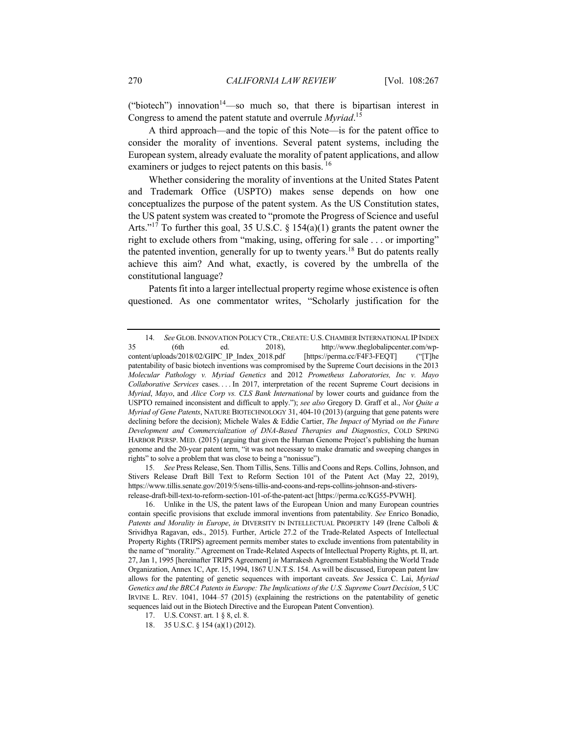("biotech") innovation<sup>14</sup>—so much so, that there is bipartisan interest in Congress to amend the patent statute and overrule *Myriad*. 15

A third approach—and the topic of this Note—is for the patent office to consider the morality of inventions. Several patent systems, including the European system, already evaluate the morality of patent applications, and allow examiners or judges to reject patents on this basis.  $^{16}$ 

Whether considering the morality of inventions at the United States Patent and Trademark Office (USPTO) makes sense depends on how one conceptualizes the purpose of the patent system. As the US Constitution states, the US patent system was created to "promote the Progress of Science and useful Arts."<sup>17</sup> To further this goal, 35 U.S.C.  $\S 154(a)(1)$  grants the patent owner the right to exclude others from "making, using, offering for sale . . . or importing" the patented invention, generally for up to twenty years.<sup>18</sup> But do patents really achieve this aim? And what, exactly, is covered by the umbrella of the constitutional language?

Patents fit into a larger intellectual property regime whose existence is often questioned. As one commentator writes, "Scholarly justification for the

15*. See* Press Release, Sen. Thom Tillis, Sens. Tillis and Coons and Reps. Collins, Johnson, and Stivers Release Draft Bill Text to Reform Section 101 of the Patent Act (May 22, 2019), https://www.tillis.senate.gov/2019/5/sens-tillis-and-coons-and-reps-collins-johnson-and-stiversrelease-draft-bill-text-to-reform-section-101-of-the-patent-act [https://perma.cc/KG55-PVWH].

<sup>14</sup>*. See* GLOB.INNOVATION POLICY CTR.,CREATE: U.S.CHAMBER INTERNATIONAL IP INDEX 35 (6th ed. 2018), http://www.theglobalipcenter.com/wpcontent/uploads/2018/02/GIPC\_IP\_Index\_2018.pdf [https://perma.cc/F4F3-FEQT] ("[T]he patentability of basic biotech inventions was compromised by the Supreme Court decisions in the 2013 *Molecular Pathology v. Myriad Genetics* and 2012 *Prometheus Laboratories, Inc v. Mayo Collaborative Services* cases. . . . In 2017, interpretation of the recent Supreme Court decisions in *Myriad*, *Mayo*, and *Alice Corp vs. CLS Bank International* by lower courts and guidance from the USPTO remained inconsistent and difficult to apply."); *see also* Gregory D. Graff et al., *Not Quite a Myriad of Gene Patents*, NATURE BIOTECHNOLOGY 31, 404-10 (2013) (arguing that gene patents were declining before the decision); Michele Wales & Eddie Cartier, *The Impact of* Myriad *on the Future Development and Commercialization of DNA-Based Therapies and Diagnostics*, COLD SPRING HARBOR PERSP. MED. (2015) (arguing that given the Human Genome Project's publishing the human genome and the 20-year patent term, "it was not necessary to make dramatic and sweeping changes in rights" to solve a problem that was close to being a "nonissue").

<sup>16.</sup> Unlike in the US, the patent laws of the European Union and many European countries contain specific provisions that exclude immoral inventions from patentability. *See* Enrico Bonadio, *Patents and Morality in Europe*, *in* DIVERSITY IN INTELLECTUAL PROPERTY 149 (Irene Calboli & Srividhya Ragavan, eds., 2015). Further, Article 27.2 of the Trade-Related Aspects of Intellectual Property Rights (TRIPS) agreement permits member states to exclude inventions from patentability in the name of "morality." Agreement on Trade-Related Aspects of Intellectual Property Rights, pt. II, art. 27, Jan 1, 1995 [hereinafter TRIPS Agreement] *in* Marrakesh Agreement Establishing the World Trade Organization, Annex 1C, Apr. 15, 1994, 1867 U.N.T.S. 154. As will be discussed, European patent law allows for the patenting of genetic sequences with important caveats. *See* Jessica C. Lai, *Myriad Genetics and the BRCA Patents in Europe: The Implications of the U.S. Supreme Court Decision*, 5 UC IRVINE L. REV. 1041, 1044–57 (2015) (explaining the restrictions on the patentability of genetic sequences laid out in the Biotech Directive and the European Patent Convention).

<sup>17.</sup> U.S. CONST. art. 1 § 8, cl. 8.

<sup>18.</sup> 35 U.S.C. § 154 (a)(1) (2012).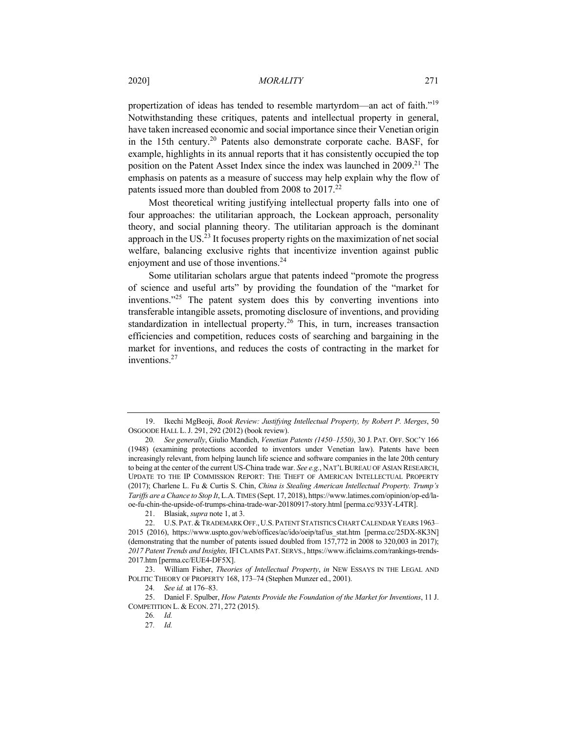## 2020] *MORALITY* 271

propertization of ideas has tended to resemble martyrdom—an act of faith."19 Notwithstanding these critiques, patents and intellectual property in general, have taken increased economic and social importance since their Venetian origin in the 15th century.<sup>20</sup> Patents also demonstrate corporate cache. BASF, for example, highlights in its annual reports that it has consistently occupied the top position on the Patent Asset Index since the index was launched in  $2009<sup>21</sup>$ . The emphasis on patents as a measure of success may help explain why the flow of patents issued more than doubled from 2008 to  $2017<sup>22</sup>$ 

Most theoretical writing justifying intellectual property falls into one of four approaches: the utilitarian approach, the Lockean approach, personality theory, and social planning theory. The utilitarian approach is the dominant approach in the US. $^{23}$  It focuses property rights on the maximization of net social welfare, balancing exclusive rights that incentivize invention against public enjoyment and use of those inventions.<sup>24</sup>

Some utilitarian scholars argue that patents indeed "promote the progress of science and useful arts" by providing the foundation of the "market for inventions."<sup>25</sup> The patent system does this by converting inventions into transferable intangible assets, promoting disclosure of inventions, and providing standardization in intellectual property.<sup>26</sup> This, in turn, increases transaction efficiencies and competition, reduces costs of searching and bargaining in the market for inventions, and reduces the costs of contracting in the market for inventions.27

<sup>19.</sup> Ikechi MgBeoji, *Book Review: Justifying Intellectual Property, by Robert P. Merges*, 50 OSGOODE HALL L.J. 291, 292 (2012) (book review).

<sup>20</sup>*. See generally*, Giulio Mandich, *Venetian Patents (1450*–*1550)*, 30 J. PAT. OFF. SOC'Y 166 (1948) (examining protections accorded to inventors under Venetian law). Patents have been increasingly relevant, from helping launch life science and software companies in the late 20th century to being at the center of the current US-China trade war. *See e.g.*, NAT'L BUREAU OF ASIAN RESEARCH, UPDATE TO THE IP COMMISSION REPORT: THE THEFT OF AMERICAN INTELLECTUAL PROPERTY (2017); Charlene L. Fu & Curtis S. Chin, *China is Stealing American Intellectual Property. Trump's Tariffs are a Chance to Stop It*, L.A.TIMES (Sept. 17, 2018), https://www.latimes.com/opinion/op-ed/laoe-fu-chin-the-upside-of-trumps-china-trade-war-20180917-story.html [perma.cc/933Y-L4TR].

<sup>21.</sup> Blasiak, *supra* note 1, at 3.

<sup>22.</sup> U.S. PAT. & TRADEMARK OFF., U.S. PATENT STATISTICS CHART CALENDAR YEARS 1963-2015 (2016), https://www.uspto.gov/web/offices/ac/ido/oeip/taf/us\_stat.htm [perma.cc/25DX-8K3N] (demonstrating that the number of patents issued doubled from 157,772 in 2008 to 320,003 in 2017); *2017 Patent Trends and Insights,* IFICLAIMS PAT. SERVS., https://www.ificlaims.com/rankings-trends-2017.htm [perma.cc/EUE4-DF5X].

<sup>23.</sup> William Fisher, *Theories of Intellectual Property*, *in* NEW ESSAYS IN THE LEGAL AND POLITIC THEORY OF PROPERTY 168, 173–74 (Stephen Munzer ed., 2001).

<sup>24</sup>*. See id.* at 176–83.

<sup>25.</sup> Daniel F. Spulber, *How Patents Provide the Foundation of the Market for Inventions*, 11 J. COMPETITION L. & ECON. 271, 272 (2015).

<sup>26</sup>*. Id.*

<sup>27</sup>*. Id.*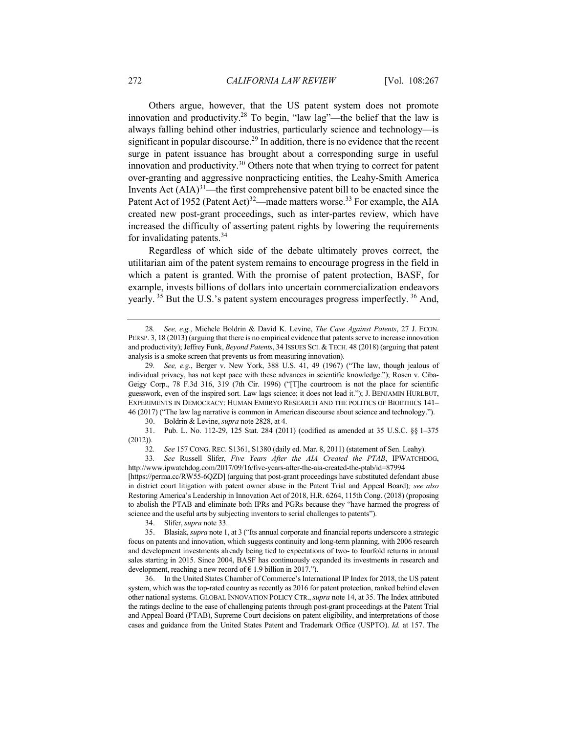Others argue, however, that the US patent system does not promote innovation and productivity.<sup>28</sup> To begin, "law lag"—the belief that the law is always falling behind other industries, particularly science and technology—is significant in popular discourse.<sup>29</sup> In addition, there is no evidence that the recent surge in patent issuance has brought about a corresponding surge in useful innovation and productivity.<sup>30</sup> Others note that when trying to correct for patent over-granting and aggressive nonpracticing entities, the Leahy-Smith America Invents Act  $(AIA)^{31}$ —the first comprehensive patent bill to be enacted since the Patent Act of 1952 (Patent Act)<sup>32</sup>—made matters worse.<sup>33</sup> For example, the AIA created new post-grant proceedings, such as inter-partes review, which have increased the difficulty of asserting patent rights by lowering the requirements for invalidating patents.<sup>34</sup>

Regardless of which side of the debate ultimately proves correct, the utilitarian aim of the patent system remains to encourage progress in the field in which a patent is granted. With the promise of patent protection, BASF, for example, invests billions of dollars into uncertain commercialization endeavors yearly. <sup>35</sup> But the U.S.'s patent system encourages progress imperfectly. <sup>36</sup> And,

30. Boldrin & Levine, *supra* note 2828, at 4.

31. Pub. L. No. 112-29, 125 Stat. 284 (2011) (codified as amended at 35 U.S.C. §§ 1–375 (2012)).

32*. See* 157 CONG. REC. S1361, S1380 (daily ed. Mar. 8, 2011) (statement of Sen. Leahy).

33*. See* Russell Slifer, *Five Years After the AIA Created the PTAB*, IPWATCHDOG, http://www.ipwatchdog.com/2017/09/16/five-years-after-the-aia-created-the-ptab/id=87994

[https://perma.cc/RW55-6QZD] (arguing that post-grant proceedings have substituted defendant abuse in district court litigation with patent owner abuse in the Patent Trial and Appeal Board)*; see also*  Restoring America's Leadership in Innovation Act of 2018, H.R. 6264, 115th Cong. (2018) (proposing to abolish the PTAB and eliminate both IPRs and PGRs because they "have harmed the progress of science and the useful arts by subjecting inventors to serial challenges to patents").

34. Slifer, *supra* note 33.

35. Blasiak, *supra* note 1, at 3 ("Its annual corporate and financial reports underscore a strategic focus on patents and innovation, which suggests continuity and long-term planning, with 2006 research and development investments already being tied to expectations of two- to fourfold returns in annual sales starting in 2015. Since 2004, BASF has continuously expanded its investments in research and development, reaching a new record of  $\epsilon$  1.9 billion in 2017.").

36. In the United States Chamber of Commerce's International IP Index for 2018, the US patent system, which was the top-rated country as recently as 2016 for patent protection, ranked behind eleven other national systems. GLOBAL INNOVATION POLICY CTR.,*supra* note 14, at 35. The Index attributed the ratings decline to the ease of challenging patents through post-grant proceedings at the Patent Trial and Appeal Board (PTAB), Supreme Court decisions on patent eligibility, and interpretations of those cases and guidance from the United States Patent and Trademark Office (USPTO). *Id.* at 157. The

<sup>28</sup>*. See, e.g.*, Michele Boldrin & David K. Levine, *The Case Against Patents*, 27 J. ECON. PERSP. 3, 18 (2013) (arguing that there is no empirical evidence that patents serve to increase innovation and productivity); Jeffrey Funk, *Beyond Patents*, 34 ISSUES SCI. & TECH. 48 (2018) (arguing that patent analysis is a smoke screen that prevents us from measuring innovation).

<sup>29</sup>*. See, e.g.*, Berger v. New York, 388 U.S. 41, 49 (1967) ("The law, though jealous of individual privacy, has not kept pace with these advances in scientific knowledge."); Rosen v. Ciba-Geigy Corp., 78 F.3d 316, 319 (7th Cir. 1996) ("[T]he courtroom is not the place for scientific guesswork, even of the inspired sort. Law lags science; it does not lead it."); J. BENJAMIN HURLBUT, EXPERIMENTS IN DEMOCRACY: HUMAN EMBRYO RESEARCH AND THE POLITICS OF BIOETHICS 141– 46 (2017) ("The law lag narrative is common in American discourse about science and technology.").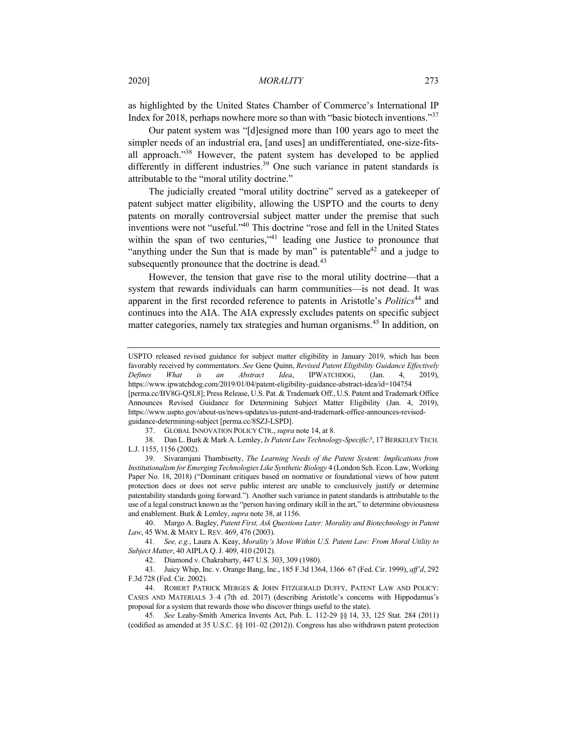as highlighted by the United States Chamber of Commerce's International IP Index for 2018, perhaps nowhere more so than with "basic biotech inventions."37

Our patent system was "[d]esigned more than 100 years ago to meet the simpler needs of an industrial era, [and uses] an undifferentiated, one-size-fitsall approach."<sup>38</sup> However, the patent system has developed to be applied differently in different industries.<sup>39</sup> One such variance in patent standards is attributable to the "moral utility doctrine."

The judicially created "moral utility doctrine" served as a gatekeeper of patent subject matter eligibility, allowing the USPTO and the courts to deny patents on morally controversial subject matter under the premise that such inventions were not "useful."40 This doctrine "rose and fell in the United States within the span of two centuries,"<sup>41</sup> leading one Justice to pronounce that "anything under the Sun that is made by man" is patentable  $42$  and a judge to subsequently pronounce that the doctrine is dead.<sup>43</sup>

However, the tension that gave rise to the moral utility doctrine—that a system that rewards individuals can harm communities—is not dead. It was apparent in the first recorded reference to patents in Aristotle's *Politics*<sup>44</sup> and continues into the AIA. The AIA expressly excludes patents on specific subject matter categories, namely tax strategies and human organisms.<sup>45</sup> In addition, on

38. Dan L. Burk & Mark A. Lemley, *Is Patent Law Technology-Specific?*, 17 BERKELEY TECH. L.J. 1155, 1156 (2002).

USPTO released revised guidance for subject matter eligibility in January 2019, which has been favorably received by commentators. *See* Gene Quinn, *Revised Patent Eligibility Guidance Effectively Defines What is an Abstract Idea*, IPWATCHDOG, (Jan. 4, 2019), https://www.ipwatchdog.com/2019/01/04/patent-eligibility-guidance-abstract-idea/id=104754

<sup>[</sup>perma.cc/BV8G-Q5L8]; Press Release, U.S. Pat. & Trademark Off., U.S. Patent and Trademark Office Announces Revised Guidance for Determining Subject Matter Eligibility (Jan. 4, 2019), https://www.uspto.gov/about-us/news-updates/us-patent-and-trademark-office-announces-revisedguidance-determining-subject [perma.cc/8SZJ-LSPD].

<sup>37.</sup> GLOBAL INNOVATION POLICY CTR., *supra* note 14, at 8.

<sup>39.</sup> Sivaramjani Thambisetty, *The Learning Needs of the Patent System: Implications from Institutionalism for Emerging Technologies Like Synthetic Biology* 4 (London Sch. Econ. Law, Working Paper No. 18, 2018) ("Dominant critiques based on normative or foundational views of how patent protection does or does not serve public interest are unable to conclusively justify or determine patentability standards going forward."). Another such variance in patent standards is attributable to the use of a legal construct known as the "person having ordinary skill in the art," to determine obviousness and enablement. Burk & Lemley, *supra* note 38, at 1156.

<sup>40.</sup> Margo A. Bagley, *Patent First, Ask Questions Later: Morality and Biotechnology in Patent Law*, 45 WM. & MARY L. REV. 469, 476 (2003).

<sup>41</sup>*. See, e.g.*, Laura A. Keay, *Morality's Move Within U.S. Patent Law: From Moral Utility to Subject Matter*, 40 AIPLA Q.J. 409, 410 (2012).

<sup>42.</sup> Diamond v. Chakrabarty, 447 U.S. 303, 309 (1980).

<sup>43.</sup> Juicy Whip, Inc. v. Orange Bang, Inc., 185 F.3d 1364, 1366–67 (Fed. Cir. 1999), *aff'd*, 292 F.3d 728 (Fed. Cir. 2002).

<sup>44.</sup> ROBERT PATRICK MERGES & JOHN FITZGERALD DUFFY, PATENT LAW AND POLICY: CASES AND MATERIALS 3–4 (7th ed. 2017) (describing Aristotle's concerns with Hippodamus's proposal for a system that rewards those who discover things useful to the state).

<sup>45</sup>*. See* Leahy-Smith America Invents Act, Pub. L. 112-29 §§ 14, 33, 125 Stat. 284 (2011) (codified as amended at 35 U.S.C. §§ 101–02 (2012)). Congress has also withdrawn patent protection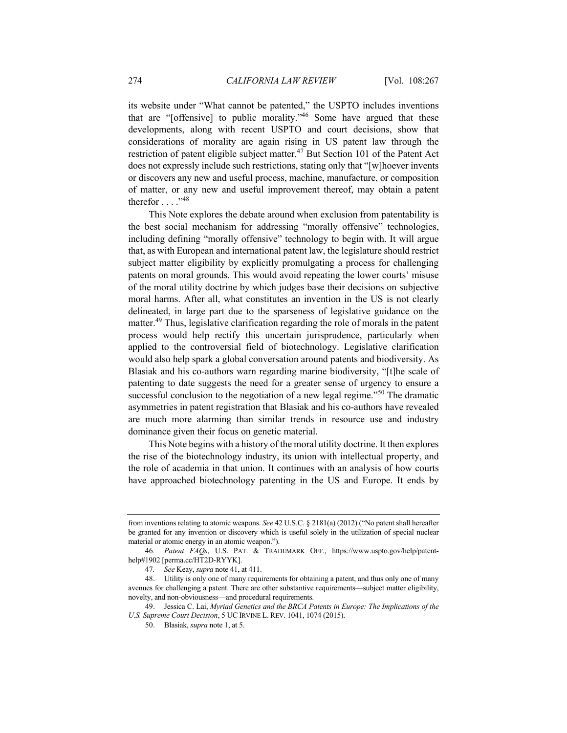its website under "What cannot be patented," the USPTO includes inventions that are "[offensive] to public morality."<sup>46</sup> Some have argued that these developments, along with recent USPTO and court decisions, show that considerations of morality are again rising in US patent law through the restriction of patent eligible subject matter.<sup>47</sup> But Section 101 of the Patent Act does not expressly include such restrictions, stating only that "[w]hoever invents or discovers any new and useful process, machine, manufacture, or composition of matter, or any new and useful improvement thereof, may obtain a patent therefor . . . . "48

This Note explores the debate around when exclusion from patentability is the best social mechanism for addressing "morally offensive" technologies, including defining "morally offensive" technology to begin with. It will argue that, as with European and international patent law, the legislature should restrict subject matter eligibility by explicitly promulgating a process for challenging patents on moral grounds. This would avoid repeating the lower courts' misuse of the moral utility doctrine by which judges base their decisions on subjective moral harms. After all, what constitutes an invention in the US is not clearly delineated, in large part due to the sparseness of legislative guidance on the matter.<sup>49</sup> Thus, legislative clarification regarding the role of morals in the patent process would help rectify this uncertain jurisprudence, particularly when applied to the controversial field of biotechnology. Legislative clarification would also help spark a global conversation around patents and biodiversity. As Blasiak and his co-authors warn regarding marine biodiversity, "[t]he scale of patenting to date suggests the need for a greater sense of urgency to ensure a successful conclusion to the negotiation of a new legal regime."<sup>50</sup> The dramatic asymmetries in patent registration that Blasiak and his co-authors have revealed are much more alarming than similar trends in resource use and industry dominance given their focus on genetic material.

This Note begins with a history of the moral utility doctrine. It then explores the rise of the biotechnology industry, its union with intellectual property, and the role of academia in that union. It continues with an analysis of how courts have approached biotechnology patenting in the US and Europe. It ends by

from inventions relating to atomic weapons. *See* 42 U.S.C. § 2181(a) (2012) ("No patent shall hereafter be granted for any invention or discovery which is useful solely in the utilization of special nuclear material or atomic energy in an atomic weapon.").

<sup>46</sup>*. Patent FAQs*, U.S. PAT. & TRADEMARK OFF., https://www.uspto.gov/help/patenthelp#1902 [perma.cc/HT2D-RYYK].

<sup>47</sup>*. See* Keay, *supra* note 41, at 411.

<sup>48.</sup> Utility is only one of many requirements for obtaining a patent, and thus only one of many avenues for challenging a patent. There are other substantive requirements—subject matter eligibility, novelty, and non-obviousness—and procedural requirements.

<sup>49.</sup> Jessica C. Lai, *Myriad Genetics and the BRCA Patents in Europe: The Implications of the U.S. Supreme Court Decision*, 5 UC IRVINE L. REV. 1041, 1074 (2015).

<sup>50.</sup> Blasiak, *supra* note 1, at 5.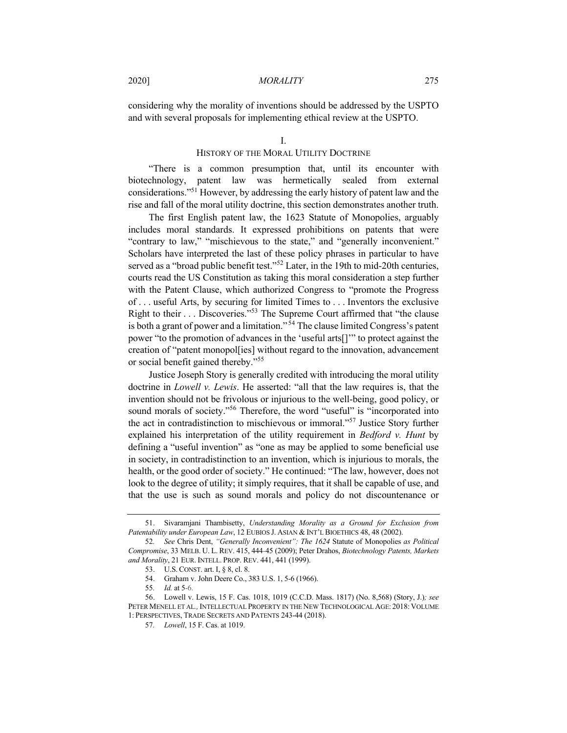considering why the morality of inventions should be addressed by the USPTO and with several proposals for implementing ethical review at the USPTO.

## HISTORY OF THE MORAL UTILITY DOCTRINE

"There is a common presumption that, until its encounter with biotechnology, patent law was hermetically sealed from external considerations."51 However, by addressing the early history of patent law and the rise and fall of the moral utility doctrine, this section demonstrates another truth.

The first English patent law, the 1623 Statute of Monopolies, arguably includes moral standards. It expressed prohibitions on patents that were "contrary to law," "mischievous to the state," and "generally inconvenient." Scholars have interpreted the last of these policy phrases in particular to have served as a "broad public benefit test."<sup>52</sup> Later, in the 19th to mid-20th centuries, courts read the US Constitution as taking this moral consideration a step further with the Patent Clause, which authorized Congress to "promote the Progress of . . . useful Arts, by securing for limited Times to . . . Inventors the exclusive Right to their . . . Discoveries."<sup>53</sup> The Supreme Court affirmed that "the clause is both a grant of power and a limitation."<sup>54</sup> The clause limited Congress's patent power "to the promotion of advances in the 'useful arts[]'" to protect against the creation of "patent monopol[ies] without regard to the innovation, advancement or social benefit gained thereby."<sup>55</sup>

Justice Joseph Story is generally credited with introducing the moral utility doctrine in *Lowell v. Lewis*. He asserted: "all that the law requires is, that the invention should not be frivolous or injurious to the well-being, good policy, or sound morals of society."<sup>56</sup> Therefore, the word "useful" is "incorporated into the act in contradistinction to mischievous or immoral."<sup>57</sup> Justice Story further explained his interpretation of the utility requirement in *Bedford v. Hunt* by defining a "useful invention" as "one as may be applied to some beneficial use in society, in contradistinction to an invention, which is injurious to morals, the health, or the good order of society." He continued: "The law, however, does not look to the degree of utility; it simply requires, that it shall be capable of use, and that the use is such as sound morals and policy do not discountenance or

<sup>51.</sup> Sivaramjani Thambisetty, *Understanding Morality as a Ground for Exclusion from Patentability under European Law*, 12 EUBIOS J. ASIAN & INT'L BIOETHICS 48, 48 (2002).

<sup>52</sup>*. See* Chris Dent, *"Generally Inconvenient": The 1624* Statute of Monopolies *as Political Compromise*, 33 MELB. U. L. REV. 415, 444-45 (2009); Peter Drahos, *Biotechnology Patents, Markets and Morality*, 21 EUR. INTELL. PROP. REV. 441, 441 (1999).

<sup>53.</sup> U.S. CONST. art. I, § 8, cl. 8.

<sup>54.</sup> Graham v. John Deere Co., 383 U.S. 1, 5-6 (1966).

<sup>55</sup>*. Id.* at 5-6.

<sup>56.</sup> Lowell v. Lewis, 15 F. Cas. 1018, 1019 (C.C.D. Mass. 1817) (No. 8,568) (Story, J.)*; see*  PETER MENELL ET AL*.,*INTELLECTUAL PROPERTY IN THE NEW TECHNOLOGICAL AGE: 2018: VOLUME 1: PERSPECTIVES, TRADE SECRETS AND PATENTS 243-44 (2018).

<sup>57</sup>*. Lowell*, 15 F. Cas. at 1019.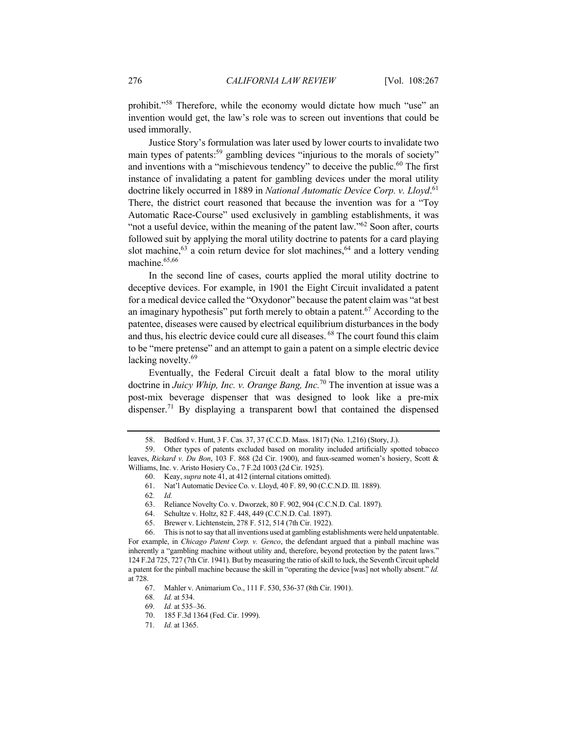prohibit."<sup>58</sup> Therefore, while the economy would dictate how much "use" an invention would get, the law's role was to screen out inventions that could be used immorally.

Justice Story's formulation was later used by lower courts to invalidate two main types of patents:<sup>59</sup> gambling devices "injurious to the morals of society" and inventions with a "mischievous tendency" to deceive the public.<sup>60</sup> The first instance of invalidating a patent for gambling devices under the moral utility doctrine likely occurred in 1889 in *National Automatic Device Corp. v. Lloyd*. 61 There, the district court reasoned that because the invention was for a "Toy Automatic Race-Course" used exclusively in gambling establishments, it was "not a useful device, within the meaning of the patent law." $62$  Soon after, courts followed suit by applying the moral utility doctrine to patents for a card playing slot machine, $63$  a coin return device for slot machines, $64$  and a lottery vending machine. $65,66$ 

In the second line of cases, courts applied the moral utility doctrine to deceptive devices. For example, in 1901 the Eight Circuit invalidated a patent for a medical device called the "Oxydonor" because the patent claim was "at best an imaginary hypothesis" put forth merely to obtain a patent.<sup>67</sup> According to the patentee, diseases were caused by electrical equilibrium disturbances in the body and thus, his electric device could cure all diseases. <sup>68</sup> The court found this claim to be "mere pretense" and an attempt to gain a patent on a simple electric device lacking novelty.<sup>69</sup>

Eventually, the Federal Circuit dealt a fatal blow to the moral utility doctrine in *Juicy Whip, Inc. v. Orange Bang, Inc.*<sup>70</sup> The invention at issue was a post-mix beverage dispenser that was designed to look like a pre-mix dispenser.71 By displaying a transparent bowl that contained the dispensed

61. Nat'l Automatic Device Co. v. Lloyd, 40 F. 89, 90 (C.C.N.D. Ill. 1889).

62*. Id.*

65. Brewer v. Lichtenstein, 278 F. 512, 514 (7th Cir. 1922).

66. This is not to say that all inventions used at gambling establishments were held unpatentable. For example, in *Chicago Patent Corp. v. Genco*, the defendant argued that a pinball machine was inherently a "gambling machine without utility and, therefore, beyond protection by the patent laws." 124 F.2d 725, 727 (7th Cir. 1941). But by measuring the ratio of skill to luck, the Seventh Circuit upheld a patent for the pinball machine because the skill in "operating the device [was] not wholly absent." *Id.* at 728.

67. Mahler v. Animarium Co., 111 F. 530, 536-37 (8th Cir. 1901).

<sup>58.</sup> Bedford v. Hunt, 3 F. Cas. 37, 37 (C.C.D. Mass. 1817) (No. 1,216) (Story, J.).

<sup>59.</sup> Other types of patents excluded based on morality included artificially spotted tobacco leaves, *Rickard v. Du Bon*, 103 F. 868 (2d Cir. 1900), and faux-seamed women's hosiery, Scott & Williams, Inc. v. Aristo Hosiery Co., 7 F.2d 1003 (2d Cir. 1925).

<sup>60.</sup> Keay, *supra* note 41, at 412 (internal citations omitted).

<sup>63.</sup> Reliance Novelty Co. v. Dworzek, 80 F. 902, 904 (C.C.N.D. Cal. 1897).

Schultze v. Holtz, 82 F. 448, 449 (C.C.N.D. Cal. 1897).

<sup>68</sup>*. Id.* at 534.

<sup>69</sup>*. Id.* at 535–36.

<sup>70.</sup> 185 F.3d 1364 (Fed. Cir. 1999).

<sup>71</sup>*. Id.* at 1365.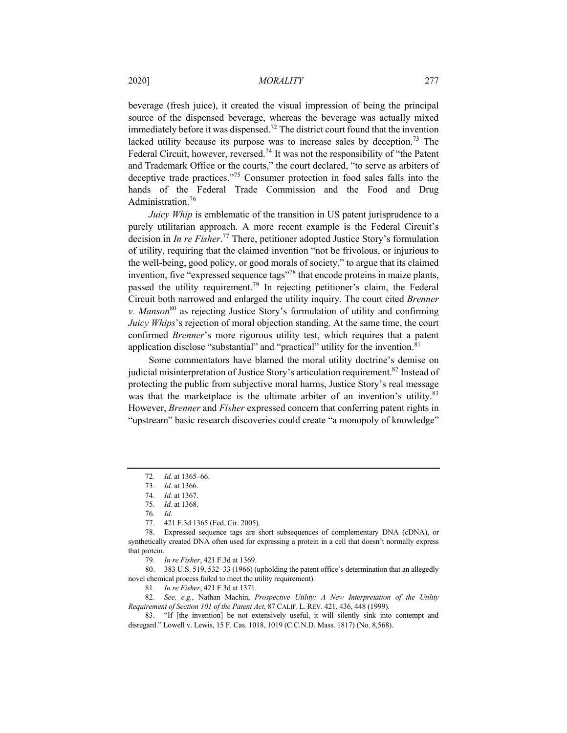beverage (fresh juice), it created the visual impression of being the principal source of the dispensed beverage, whereas the beverage was actually mixed immediately before it was dispensed.<sup>72</sup> The district court found that the invention lacked utility because its purpose was to increase sales by deception.<sup>73</sup> The Federal Circuit, however, reversed.<sup>74</sup> It was not the responsibility of "the Patent" and Trademark Office or the courts," the court declared, "to serve as arbiters of deceptive trade practices."<sup>75</sup> Consumer protection in food sales falls into the hands of the Federal Trade Commission and the Food and Drug Administration.<sup>76</sup>

*Juicy Whip* is emblematic of the transition in US patent jurisprudence to a purely utilitarian approach. A more recent example is the Federal Circuit's decision in *In re Fisher*. <sup>77</sup> There, petitioner adopted Justice Story's formulation of utility, requiring that the claimed invention "not be frivolous, or injurious to the well-being, good policy, or good morals of society," to argue that its claimed invention, five "expressed sequence tags"<sup>78</sup> that encode proteins in maize plants, passed the utility requirement.<sup>79</sup> In rejecting petitioner's claim, the Federal Circuit both narrowed and enlarged the utility inquiry. The court cited *Brenner v. Manson*<sup>80</sup> as rejecting Justice Story's formulation of utility and confirming *Juicy Whips*'s rejection of moral objection standing. At the same time, the court confirmed *Brenner*'s more rigorous utility test, which requires that a patent application disclose "substantial" and "practical" utility for the invention.<sup>81</sup>

Some commentators have blamed the moral utility doctrine's demise on judicial misinterpretation of Justice Story's articulation requirement.<sup>82</sup> Instead of protecting the public from subjective moral harms, Justice Story's real message was that the marketplace is the ultimate arbiter of an invention's utility.<sup>83</sup> However, *Brenner* and *Fisher* expressed concern that conferring patent rights in "upstream" basic research discoveries could create "a monopoly of knowledge"

77. 421 F.3d 1365 (Fed. Cir. 2005).

79*. In re Fisher*, 421 F.3d at 1369.

80. 383 U.S. 519, 532–33 (1966) (upholding the patent office's determination that an allegedly novel chemical process failed to meet the utility requirement).

81*. In re Fisher*, 421 F.3d at 1371.

82*. See, e.g.*, Nathan Machin, *Prospective Utility: A New Interpretation of the Utility Requirement of Section 101 of the Patent Act*, 87 CALIF. L. REV. 421, 436, 448 (1999).

83. "If [the invention] be not extensively useful, it will silently sink into contempt and disregard." Lowell v. Lewis, 15 F. Cas. 1018, 1019 (C.C.N.D. Mass. 1817) (No. 8,568).

<sup>72</sup>*. Id.* at 1365–66.

<sup>73</sup>*. Id.* at 1366.

<sup>74</sup>*. Id.* at 1367.

<sup>75</sup>*. Id.* at 1368.

<sup>76</sup>*. Id.*

<sup>78.</sup> Expressed sequence tags are short subsequences of complementary DNA (cDNA), or synthetically created DNA often used for expressing a protein in a cell that doesn't normally express that protein.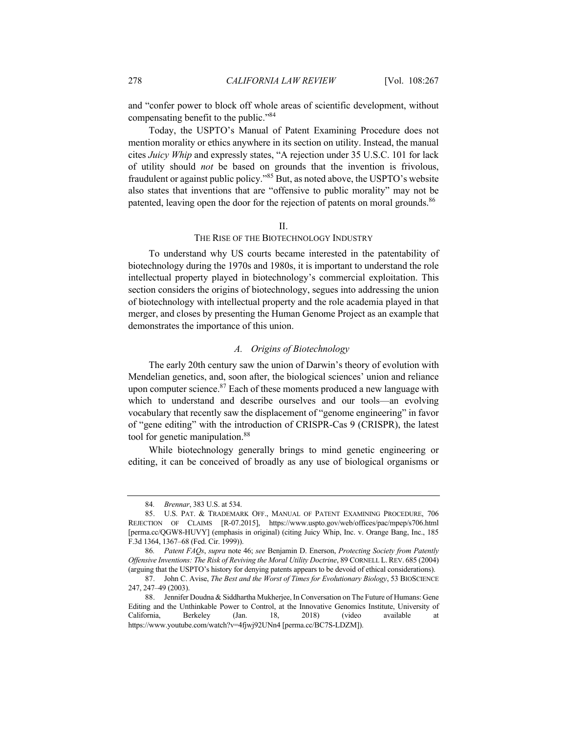and "confer power to block off whole areas of scientific development, without compensating benefit to the public."<sup>84</sup>

Today, the USPTO's Manual of Patent Examining Procedure does not mention morality or ethics anywhere in its section on utility. Instead, the manual cites *Juicy Whip* and expressly states, "A rejection under 35 U.S.C. 101 for lack of utility should *not* be based on grounds that the invention is frivolous, fraudulent or against public policy."<sup>85</sup> But, as noted above, the USPTO's website also states that inventions that are "offensive to public morality" may not be patented, leaving open the door for the rejection of patents on moral grounds.<sup>86</sup>

#### II.

## THE RISE OF THE BIOTECHNOLOGY INDUSTRY

To understand why US courts became interested in the patentability of biotechnology during the 1970s and 1980s, it is important to understand the role intellectual property played in biotechnology's commercial exploitation. This section considers the origins of biotechnology, segues into addressing the union of biotechnology with intellectual property and the role academia played in that merger, and closes by presenting the Human Genome Project as an example that demonstrates the importance of this union.

#### *A. Origins of Biotechnology*

The early 20th century saw the union of Darwin's theory of evolution with Mendelian genetics, and, soon after, the biological sciences' union and reliance upon computer science.<sup>87</sup> Each of these moments produced a new language with which to understand and describe ourselves and our tools—an evolving vocabulary that recently saw the displacement of "genome engineering" in favor of "gene editing" with the introduction of CRISPR-Cas 9 (CRISPR), the latest tool for genetic manipulation.<sup>88</sup>

While biotechnology generally brings to mind genetic engineering or editing, it can be conceived of broadly as any use of biological organisms or

<sup>84</sup>*. Brennar*, 383 U.S. at 534.

<sup>85.</sup> U.S. PAT. & TRADEMARK OFF., MANUAL OF PATENT EXAMINING PROCEDURE, 706 REJECTION OF CLAIMS [R-07.2015], https://www.uspto.gov/web/offices/pac/mpep/s706.html [perma.cc/QGW8-HUVY] (emphasis in original) (citing Juicy Whip, Inc. v. Orange Bang, Inc., 185 F.3d 1364, 1367–68 (Fed. Cir. 1999)).

<sup>86</sup>*. Patent FAQs*, *supra* note 46; *see* Benjamin D. Enerson, *Protecting Society from Patently Offensive Inventions: The Risk of Reviving the Moral Utility Doctrine*, 89 CORNELL L.REV. 685 (2004) (arguing that the USPTO's history for denying patents appears to be devoid of ethical considerations).

<sup>87.</sup> John C. Avise, *The Best and the Worst of Times for Evolutionary Biology*, 53 BIOSCIENCE 247, 247–49 (2003).

<sup>88.</sup> Jennifer Doudna & Siddhartha Mukherjee, In Conversation on The Future of Humans: Gene Editing and the Unthinkable Power to Control, at the Innovative Genomics Institute, University of California, Berkeley (Jan. 18, 2018) (video available at https://www.youtube.com/watch?v=4fjwj92UNn4 [perma.cc/BC7S-LDZM]).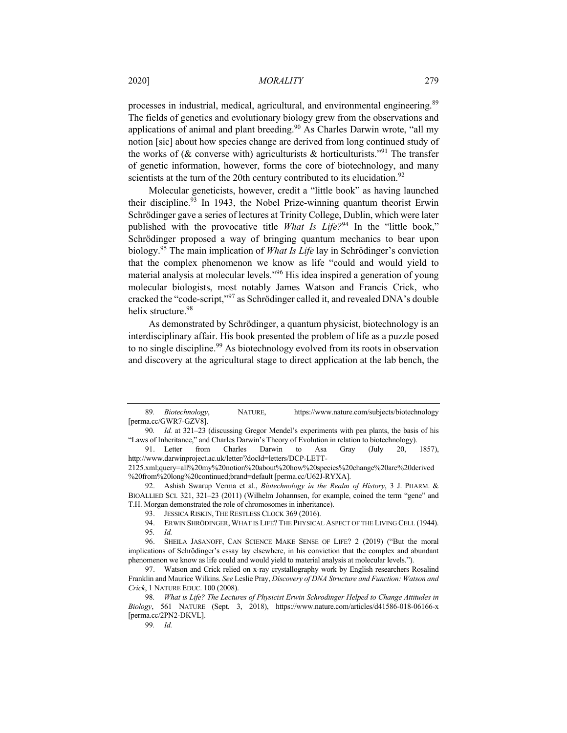## 2020] *MORALITY* 279

processes in industrial, medical, agricultural, and environmental engineering.<sup>89</sup> The fields of genetics and evolutionary biology grew from the observations and applications of animal and plant breeding.<sup>90</sup> As Charles Darwin wrote, "all my notion [sic] about how species change are derived from long continued study of the works of ( $\&$  converse with) agriculturists  $\&$  horticulturists.<sup>"91</sup> The transfer of genetic information, however, forms the core of biotechnology, and many scientists at the turn of the 20th century contributed to its elucidation.<sup>92</sup>

Molecular geneticists, however, credit a "little book" as having launched their discipline.<sup>93</sup> In 1943, the Nobel Prize-winning quantum theorist Erwin Schrödinger gave a series of lectures at Trinity College, Dublin, which were later published with the provocative title *What Is Life?*<sup>94</sup> In the "little book," Schrödinger proposed a way of bringing quantum mechanics to bear upon biology.<sup>95</sup> The main implication of *What Is Life* lay in Schrödinger's conviction that the complex phenomenon we know as life "could and would yield to material analysis at molecular levels."<sup>96</sup> His idea inspired a generation of young molecular biologists, most notably James Watson and Francis Crick, who cracked the "code-script,"<sup>97</sup> as Schrödinger called it, and revealed DNA's double helix structure.<sup>98</sup>

As demonstrated by Schrödinger, a quantum physicist, biotechnology is an interdisciplinary affair. His book presented the problem of life as a puzzle posed to no single discipline.<sup>99</sup> As biotechnology evolved from its roots in observation and discovery at the agricultural stage to direct application at the lab bench, the

<sup>89</sup>*. Biotechnology*, NATURE, https://www.nature.com/subjects/biotechnology [perma.cc/GWR7-GZV8].

<sup>90</sup>*. Id.* at 321–23 (discussing Gregor Mendel's experiments with pea plants, the basis of his "Laws of Inheritance," and Charles Darwin's Theory of Evolution in relation to biotechnology).

<sup>91.</sup> Letter from Charles Darwin to Asa Gray (July 20, 1857), http://www.darwinproject.ac.uk/letter/?docId=letters/DCP-LETT-

<sup>2125.</sup>xml;query=all%20my%20notion%20about%20how%20species%20change%20are%20derived %20from%20long%20continued;brand=default [perma.cc/U62J-RYXA].

<sup>92.</sup> Ashish Swarup Verma et al., *Biotechnology in the Realm of History*, 3 J. PHARM. & BIOALLIED SCI. 321, 321–23 (2011) (Wilhelm Johannsen, for example, coined the term "gene" and T.H. Morgan demonstrated the role of chromosomes in inheritance).

<sup>93.</sup> JESSICA RISKIN, THE RESTLESS CLOCK 369 (2016).

<sup>94.</sup> ERWIN SHRÖDINGER, WHAT IS LIFE? THE PHYSICAL ASPECT OF THE LIVING CELL (1944).

<sup>95</sup>*. Id.*

<sup>96.</sup> SHEILA JASANOFF, CAN SCIENCE MAKE SENSE OF LIFE? 2 (2019) ("But the moral implications of Schrödinger's essay lay elsewhere, in his conviction that the complex and abundant phenomenon we know as life could and would yield to material analysis at molecular levels.").

<sup>97.</sup> Watson and Crick relied on x-ray crystallography work by English researchers Rosalind Franklin and Maurice Wilkins. *See* Leslie Pray, *Discovery of DNA Structure and Function: Watson and Crick*, 1 NATURE EDUC. 100 (2008).

<sup>98</sup>*. What is Life? The Lectures of Physicist Erwin Schrodinger Helped to Change Attitudes in Biology*, 561 NATURE (Sept. 3, 2018), https://www.nature.com/articles/d41586-018-06166-x [perma.cc/2PN2-DKVL].

<sup>99</sup>*. Id.*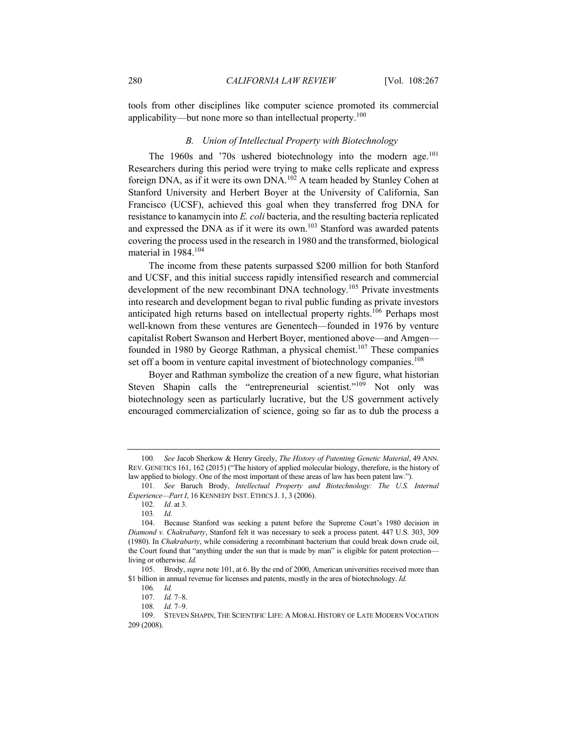tools from other disciplines like computer science promoted its commercial applicability—but none more so than intellectual property.<sup>100</sup>

# *B. Union of Intellectual Property with Biotechnology*

The 1960s and '70s ushered biotechnology into the modern age.<sup>101</sup> Researchers during this period were trying to make cells replicate and express foreign DNA, as if it were its own DNA.<sup>102</sup> A team headed by Stanley Cohen at Stanford University and Herbert Boyer at the University of California, San Francisco (UCSF), achieved this goal when they transferred frog DNA for resistance to kanamycin into *E. coli* bacteria, and the resulting bacteria replicated and expressed the DNA as if it were its own.<sup>103</sup> Stanford was awarded patents covering the process used in the research in 1980 and the transformed, biological material in 1984.<sup>104</sup>

The income from these patents surpassed \$200 million for both Stanford and UCSF, and this initial success rapidly intensified research and commercial development of the new recombinant DNA technology.<sup>105</sup> Private investments into research and development began to rival public funding as private investors anticipated high returns based on intellectual property rights.<sup>106</sup> Perhaps most well-known from these ventures are Genentech—founded in 1976 by venture capitalist Robert Swanson and Herbert Boyer, mentioned above—and Amgen founded in 1980 by George Rathman, a physical chemist.<sup>107</sup> These companies set off a boom in venture capital investment of biotechnology companies.<sup>108</sup>

Boyer and Rathman symbolize the creation of a new figure, what historian Steven Shapin calls the "entrepreneurial scientist."<sup>109</sup> Not only was biotechnology seen as particularly lucrative, but the US government actively encouraged commercialization of science, going so far as to dub the process a

<sup>100</sup>*. See* Jacob Sherkow & Henry Greely, *The History of Patenting Genetic Material*, 49 ANN. REV. GENETICS 161, 162 (2015) ("The history of applied molecular biology, therefore, is the history of law applied to biology. One of the most important of these areas of law has been patent law.").

<sup>101</sup>*. See* Baruch Brody, *Intellectual Property and Biotechnology: The U.S. Internal Experience—Part I*, 16 KENNEDY INST. ETHICS J. 1, 3 (2006).

<sup>102</sup>*. Id*. at 3.

<sup>103</sup>*. Id.*

<sup>104.</sup> Because Stanford was seeking a patent before the Supreme Court's 1980 decision in *Diamond v. Chakrabarty*, Stanford felt it was necessary to seek a process patent. 447 U.S. 303, 309 (1980). In *Chakrabarty*, while considering a recombinant bacterium that could break down crude oil, the Court found that "anything under the sun that is made by man" is eligible for patent protection living or otherwise. *Id.*

<sup>105.</sup> Brody, *supra* note 101, at 6. By the end of 2000, American universities received more than \$1 billion in annual revenue for licenses and patents, mostly in the area of biotechnology. *Id.*

<sup>106</sup>*. Id.*

<sup>107</sup>*. Id.* 7–8.

<sup>108</sup>*. Id.* 7–9.

<sup>109.</sup> STEVEN SHAPIN, THE SCIENTIFIC LIFE: A MORAL HISTORY OF LATE MODERN VOCATION 209 (2008).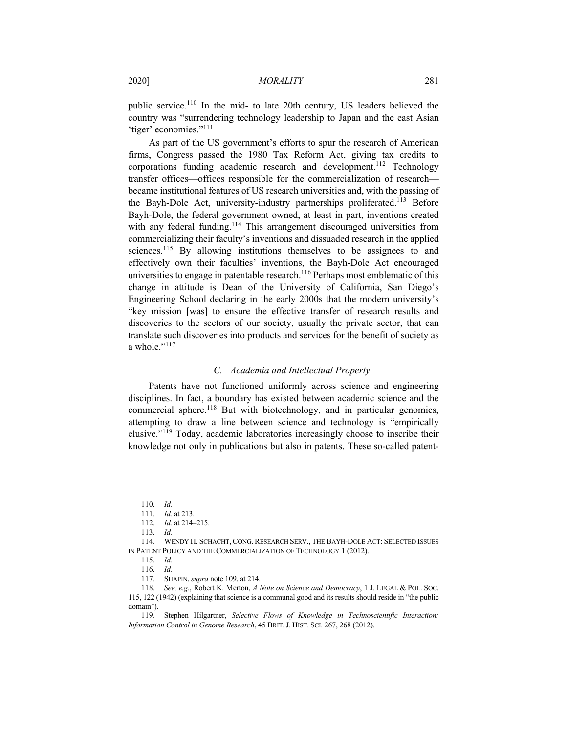public service.<sup>110</sup> In the mid- to late 20th century, US leaders believed the country was "surrendering technology leadership to Japan and the east Asian 'tiger' economies."<sup>111</sup>

As part of the US government's efforts to spur the research of American firms, Congress passed the 1980 Tax Reform Act, giving tax credits to corporations funding academic research and development.<sup>112</sup> Technology transfer offices—offices responsible for the commercialization of research became institutional features of US research universities and, with the passing of the Bayh-Dole Act, university-industry partnerships proliferated.<sup>113</sup> Before Bayh-Dole, the federal government owned, at least in part, inventions created with any federal funding.<sup>114</sup> This arrangement discouraged universities from commercializing their faculty's inventions and dissuaded research in the applied sciences.<sup>115</sup> By allowing institutions themselves to be assignees to and effectively own their faculties' inventions, the Bayh-Dole Act encouraged universities to engage in patentable research.<sup>116</sup> Perhaps most emblematic of this change in attitude is Dean of the University of California, San Diego's Engineering School declaring in the early 2000s that the modern university's "key mission [was] to ensure the effective transfer of research results and discoveries to the sectors of our society, usually the private sector, that can translate such discoveries into products and services for the benefit of society as a whole."<sup>117</sup>

#### *C. Academia and Intellectual Property*

Patents have not functioned uniformly across science and engineering disciplines. In fact, a boundary has existed between academic science and the commercial sphere.<sup>118</sup> But with biotechnology, and in particular genomics, attempting to draw a line between science and technology is "empirically elusive."<sup>119</sup> Today, academic laboratories increasingly choose to inscribe their knowledge not only in publications but also in patents. These so-called patent-

<sup>110</sup>*. Id.*

<sup>111</sup>*. Id.* at 213.

<sup>112</sup>*. Id.* at 214–215.

<sup>113</sup>*. Id.*

<sup>114.</sup> WENDY H. SCHACHT, CONG. RESEARCH SERV., THE BAYH-DOLE ACT: SELECTED ISSUES IN PATENT POLICY AND THE COMMERCIALIZATION OF TECHNOLOGY 1 (2012).

<sup>115</sup>*. Id.*

<sup>116</sup>*. Id.*

<sup>117.</sup> SHAPIN, *supra* note 109, at 214.

<sup>118</sup>*. See, e.g.*, Robert K. Merton, *A Note on Science and Democracy*, 1 J. LEGAL & POL. SOC. 115, 122 (1942) (explaining that science is a communal good and its results should reside in "the public domain").

<sup>119.</sup> Stephen Hilgartner, *Selective Flows of Knowledge in Technoscientific Interaction: Information Control in Genome Research*, 45 BRIT.J. HIST. SCI. 267, 268 (2012).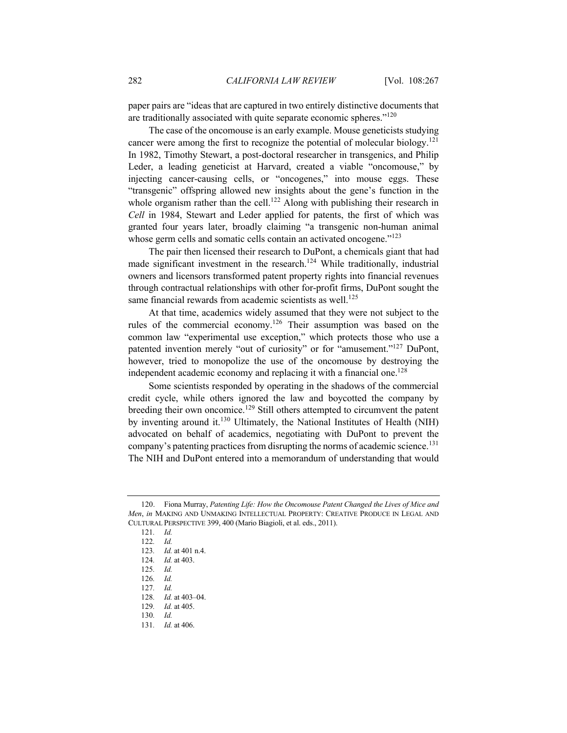paper pairs are "ideas that are captured in two entirely distinctive documents that are traditionally associated with quite separate economic spheres."<sup>120</sup>

The case of the oncomouse is an early example. Mouse geneticists studying cancer were among the first to recognize the potential of molecular biology.<sup>121</sup> In 1982, Timothy Stewart, a post-doctoral researcher in transgenics, and Philip Leder, a leading geneticist at Harvard, created a viable "oncomouse," by injecting cancer-causing cells, or "oncogenes," into mouse eggs. These "transgenic" offspring allowed new insights about the gene's function in the whole organism rather than the cell.<sup>122</sup> Along with publishing their research in *Cell* in 1984, Stewart and Leder applied for patents, the first of which was granted four years later, broadly claiming "a transgenic non-human animal whose germ cells and somatic cells contain an activated oncogene."<sup>123</sup>

The pair then licensed their research to DuPont, a chemicals giant that had made significant investment in the research.<sup>124</sup> While traditionally, industrial owners and licensors transformed patent property rights into financial revenues through contractual relationships with other for-profit firms, DuPont sought the same financial rewards from academic scientists as well.<sup>125</sup>

At that time, academics widely assumed that they were not subject to the rules of the commercial economy.<sup>126</sup> Their assumption was based on the common law "experimental use exception," which protects those who use a patented invention merely "out of curiosity" or for "amusement."<sup>127</sup> DuPont, however, tried to monopolize the use of the oncomouse by destroying the independent academic economy and replacing it with a financial one.<sup>128</sup>

Some scientists responded by operating in the shadows of the commercial credit cycle, while others ignored the law and boycotted the company by breeding their own oncomice.<sup>129</sup> Still others attempted to circumvent the patent by inventing around it.<sup>130</sup> Ultimately, the National Institutes of Health (NIH) advocated on behalf of academics, negotiating with DuPont to prevent the company's patenting practices from disrupting the norms of academic science.<sup>131</sup> The NIH and DuPont entered into a memorandum of understanding that would

<sup>120.</sup> Fiona Murray, *Patenting Life: How the Oncomouse Patent Changed the Lives of Mice and Men*, *in* MAKING AND UNMAKING INTELLECTUAL PROPERTY: CREATIVE PRODUCE IN LEGAL AND CULTURAL PERSPECTIVE 399, 400 (Mario Biagioli, et al. eds., 2011).

<sup>121</sup>*. Id.*

<sup>122</sup>*. Id.*

<sup>123</sup>*. Id.* at 401 n.4.

<sup>124</sup>*. Id.* at 403.

<sup>125</sup>*. Id.*

<sup>126</sup>*. Id.*

<sup>127</sup>*. Id.*

<sup>128</sup>*. Id.* at 403–04.

<sup>129</sup>*. Id.* at 405.

<sup>130</sup>*. Id.*

<sup>131</sup>*. Id.* at 406.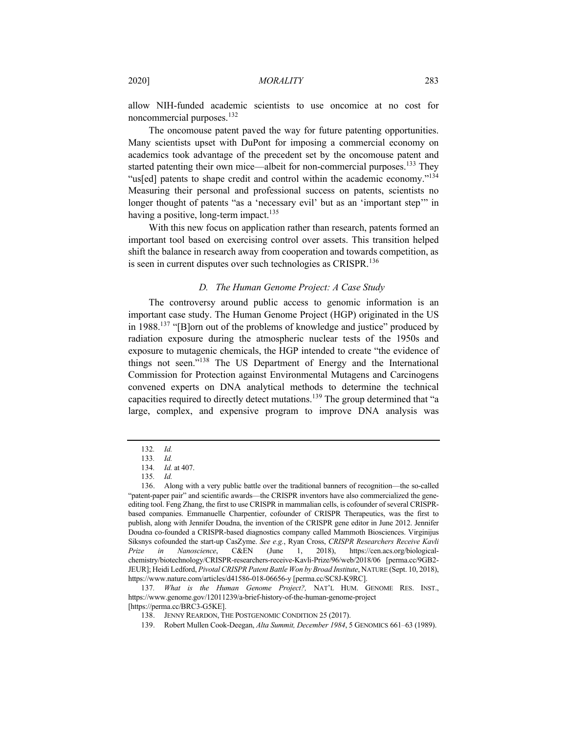allow NIH-funded academic scientists to use oncomice at no cost for noncommercial purposes.<sup>132</sup>

The oncomouse patent paved the way for future patenting opportunities. Many scientists upset with DuPont for imposing a commercial economy on academics took advantage of the precedent set by the oncomouse patent and started patenting their own mice—albeit for non-commercial purposes.<sup>133</sup> They "us[ed] patents to shape credit and control within the academic economy."<sup>134</sup> Measuring their personal and professional success on patents, scientists no longer thought of patents "as a 'necessary evil' but as an 'important step'" in having a positive, long-term impact. $135$ 

With this new focus on application rather than research, patents formed an important tool based on exercising control over assets. This transition helped shift the balance in research away from cooperation and towards competition, as is seen in current disputes over such technologies as CRISPR.<sup>136</sup>

## *D. The Human Genome Project: A Case Study*

The controversy around public access to genomic information is an important case study. The Human Genome Project (HGP) originated in the US in 1988.<sup>137</sup> "[B]orn out of the problems of knowledge and justice" produced by radiation exposure during the atmospheric nuclear tests of the 1950s and exposure to mutagenic chemicals, the HGP intended to create "the evidence of things not seen."<sup>138</sup> The US Department of Energy and the International Commission for Protection against Environmental Mutagens and Carcinogens convened experts on DNA analytical methods to determine the technical capacities required to directly detect mutations.<sup>139</sup> The group determined that "a large, complex, and expensive program to improve DNA analysis was

<sup>132</sup>*. Id.*

<sup>133</sup>*. Id.*

<sup>134</sup>*. Id.* at 407.

<sup>135</sup>*. Id.*

<sup>136.</sup> Along with a very public battle over the traditional banners of recognition—the so-called "patent-paper pair" and scientific awards—the CRISPR inventors have also commercialized the geneediting tool. Feng Zhang, the first to use CRISPR in mammalian cells, is cofounder of several CRISPRbased companies. Emmanuelle Charpentier, cofounder of CRISPR Therapeutics, was the first to publish, along with Jennifer Doudna, the invention of the CRISPR gene editor in June 2012. Jennifer Doudna co-founded a CRISPR-based diagnostics company called Mammoth Biosciences. Virginijus Siksnys cofounded the start-up CasZyme. *See e.g.*, Ryan Cross, *CRISPR Researchers Receive Kavli Prize in Nanoscience*, C&EN (June 1, 2018), https://cen.acs.org/biologicalchemistry/biotechnology/CRISPR-researchers-receive-Kavli-Prize/96/web/2018/06 [perma.cc/9GB2- JEUR]; Heidi Ledford, *Pivotal CRISPR Patent Battle Won by Broad Institute*, NATURE (Sept. 10, 2018), https://www.nature.com/articles/d41586-018-06656-y [perma.cc/SC8J-K9RC].

<sup>137</sup>*. What is the Human Genome Project?,* NAT'L HUM. GENOME RES. INST., https://www.genome.gov/12011239/a-brief-history-of-the-human-genome-project [https://perma.cc/BRC3-G5KE].

<sup>138.</sup> JENNY REARDON, THE POSTGENOMIC CONDITION 25 (2017).

<sup>139.</sup> Robert Mullen Cook-Deegan, *Alta Summit, December 1984*, 5 GENOMICS 661–63 (1989).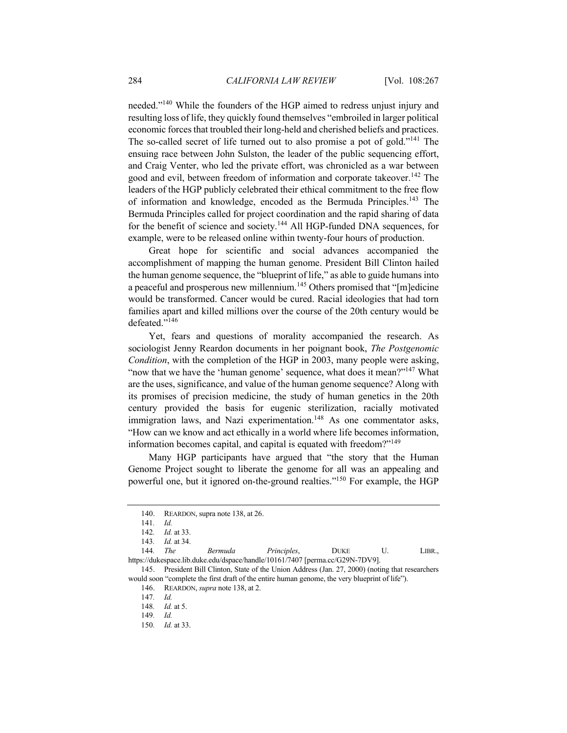needed."140 While the founders of the HGP aimed to redress unjust injury and resulting loss of life, they quickly found themselves "embroiled in larger political economic forces that troubled their long-held and cherished beliefs and practices. The so-called secret of life turned out to also promise a pot of gold."<sup>141</sup> The ensuing race between John Sulston, the leader of the public sequencing effort, and Craig Venter, who led the private effort, was chronicled as a war between good and evil, between freedom of information and corporate takeover.<sup>142</sup> The leaders of the HGP publicly celebrated their ethical commitment to the free flow of information and knowledge, encoded as the Bermuda Principles.<sup>143</sup> The Bermuda Principles called for project coordination and the rapid sharing of data for the benefit of science and society.<sup>144</sup> All HGP-funded DNA sequences, for example, were to be released online within twenty-four hours of production.

Great hope for scientific and social advances accompanied the accomplishment of mapping the human genome. President Bill Clinton hailed the human genome sequence, the "blueprint of life," as able to guide humans into a peaceful and prosperous new millennium.<sup>145</sup> Others promised that "[m]edicine would be transformed. Cancer would be cured. Racial ideologies that had torn families apart and killed millions over the course of the 20th century would be defeated."<sup>146</sup>

Yet, fears and questions of morality accompanied the research. As sociologist Jenny Reardon documents in her poignant book, *The Postgenomic Condition*, with the completion of the HGP in 2003, many people were asking, "now that we have the 'human genome' sequence, what does it mean?"<sup>147</sup> What are the uses, significance, and value of the human genome sequence? Along with its promises of precision medicine, the study of human genetics in the 20th century provided the basis for eugenic sterilization, racially motivated immigration laws, and Nazi experimentation.<sup>148</sup> As one commentator asks, "How can we know and act ethically in a world where life becomes information, information becomes capital, and capital is equated with freedom?"<sup>149</sup>

Many HGP participants have argued that "the story that the Human Genome Project sought to liberate the genome for all was an appealing and powerful one, but it ignored on-the-ground realties."150 For example, the HGP

144*. The Bermuda Principles*, DUKE U. LIBR., https://dukespace.lib.duke.edu/dspace/handle/10161/7407 [perma.cc/G29N-7DV9].

<sup>140.</sup> REARDON, supra note 138, at 26.

<sup>141</sup>*. Id.*

<sup>142</sup>*. Id.* at 33.

<sup>143</sup>*. Id.* at 34.

<sup>145.</sup> President Bill Clinton, State of the Union Address (Jan. 27, 2000) (noting that researchers would soon "complete the first draft of the entire human genome, the very blueprint of life").

<sup>146.</sup> REARDON, *supra* note 138, at 2.

<sup>147</sup>*. Id.*

<sup>148</sup>*. Id.* at 5.

<sup>149</sup>*. Id.*

<sup>150</sup>*. Id.* at 33.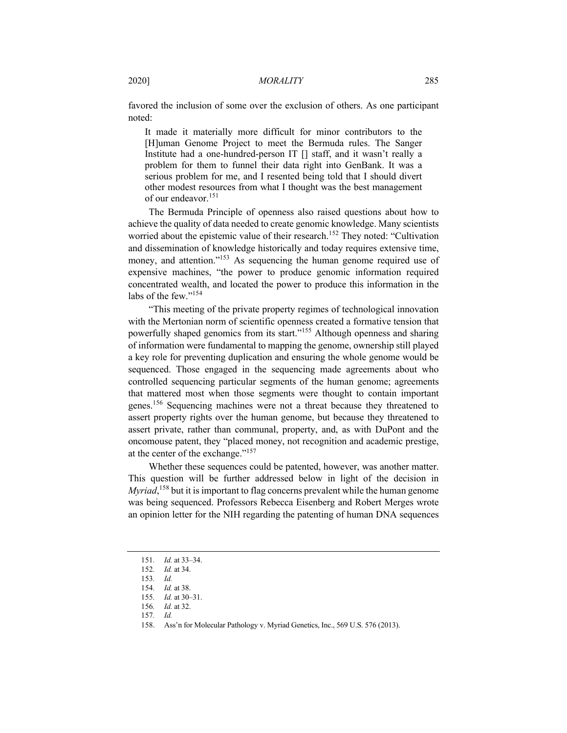favored the inclusion of some over the exclusion of others. As one participant noted:

It made it materially more difficult for minor contributors to the [H]uman Genome Project to meet the Bermuda rules. The Sanger Institute had a one-hundred-person IT [] staff, and it wasn't really a problem for them to funnel their data right into GenBank. It was a serious problem for me, and I resented being told that I should divert other modest resources from what I thought was the best management of our endeavor.<sup>151</sup>

The Bermuda Principle of openness also raised questions about how to achieve the quality of data needed to create genomic knowledge. Many scientists worried about the epistemic value of their research.<sup>152</sup> They noted: "Cultivation and dissemination of knowledge historically and today requires extensive time, money, and attention."<sup>153</sup> As sequencing the human genome required use of expensive machines, "the power to produce genomic information required concentrated wealth, and located the power to produce this information in the labs of the few."<sup>154</sup>

"This meeting of the private property regimes of technological innovation with the Mertonian norm of scientific openness created a formative tension that powerfully shaped genomics from its start."155 Although openness and sharing of information were fundamental to mapping the genome, ownership still played a key role for preventing duplication and ensuring the whole genome would be sequenced. Those engaged in the sequencing made agreements about who controlled sequencing particular segments of the human genome; agreements that mattered most when those segments were thought to contain important genes.<sup>156</sup> Sequencing machines were not a threat because they threatened to assert property rights over the human genome, but because they threatened to assert private, rather than communal, property, and, as with DuPont and the oncomouse patent, they "placed money, not recognition and academic prestige, at the center of the exchange."157

Whether these sequences could be patented, however, was another matter. This question will be further addressed below in light of the decision in *Myriad*, <sup>158</sup> but it is important to flag concerns prevalent while the human genome was being sequenced. Professors Rebecca Eisenberg and Robert Merges wrote an opinion letter for the NIH regarding the patenting of human DNA sequences

<sup>151</sup>*. Id.* at 33–34.

<sup>152</sup>*. Id.* at 34.

<sup>153</sup>*. Id.*

<sup>154</sup>*. Id.* at 38.

<sup>155</sup>*. Id.* at 30–31.

<sup>156</sup>*. Id.* at 32.

<sup>157</sup>*. Id.*

<sup>158.</sup> Ass'n for Molecular Pathology v. Myriad Genetics, Inc., 569 U.S. 576 (2013).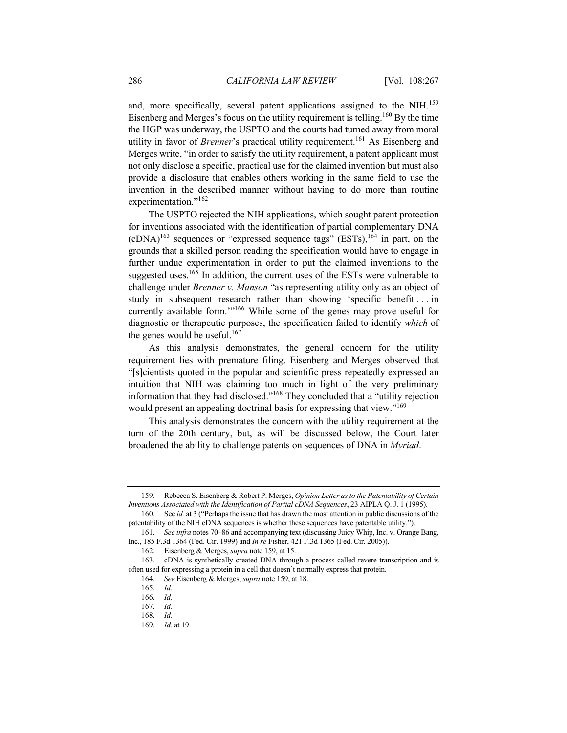and, more specifically, several patent applications assigned to the NIH.<sup>159</sup> Eisenberg and Merges's focus on the utility requirement is telling.<sup>160</sup> By the time the HGP was underway, the USPTO and the courts had turned away from moral utility in favor of *Brenner*'s practical utility requirement.161 As Eisenberg and Merges write, "in order to satisfy the utility requirement, a patent applicant must not only disclose a specific, practical use for the claimed invention but must also provide a disclosure that enables others working in the same field to use the invention in the described manner without having to do more than routine experimentation."<sup>162</sup>

The USPTO rejected the NIH applications, which sought patent protection for inventions associated with the identification of partial complementary DNA  $(cDNA)^{163}$  sequences or "expressed sequence tags" (ESTs),  $^{164}$  in part, on the grounds that a skilled person reading the specification would have to engage in further undue experimentation in order to put the claimed inventions to the suggested uses.<sup>165</sup> In addition, the current uses of the ESTs were vulnerable to challenge under *Brenner v. Manson* "as representing utility only as an object of study in subsequent research rather than showing 'specific benefit . . . in currently available form."<sup>166</sup> While some of the genes may prove useful for diagnostic or therapeutic purposes, the specification failed to identify *which* of the genes would be useful.<sup>167</sup>

As this analysis demonstrates, the general concern for the utility requirement lies with premature filing. Eisenberg and Merges observed that "[s]cientists quoted in the popular and scientific press repeatedly expressed an intuition that NIH was claiming too much in light of the very preliminary information that they had disclosed."168 They concluded that a "utility rejection would present an appealing doctrinal basis for expressing that view."<sup>169</sup>

This analysis demonstrates the concern with the utility requirement at the turn of the 20th century, but, as will be discussed below, the Court later broadened the ability to challenge patents on sequences of DNA in *Myriad*.

<sup>159.</sup> Rebecca S. Eisenberg & Robert P. Merges, *Opinion Letter as to the Patentability of Certain Inventions Associated with the Identification of Partial cDNA Sequences*, 23 AIPLA Q. J. 1 (1995).

<sup>160.</sup> See *id.* at 3 ("Perhaps the issue that has drawn the most attention in public discussions of the patentability of the NIH cDNA sequences is whether these sequences have patentable utility.").

<sup>161</sup>*. See infra* notes 70–86 and accompanying text (discussing Juicy Whip, Inc. v. Orange Bang, Inc., 185 F.3d 1364 (Fed. Cir. 1999) and *In re* Fisher, 421 F.3d 1365 (Fed. Cir. 2005)).

<sup>162.</sup> Eisenberg & Merges, *supra* note 159, at 15.

<sup>163.</sup> cDNA is synthetically created DNA through a process called revere transcription and is often used for expressing a protein in a cell that doesn't normally express that protein.

<sup>164</sup>*. See* Eisenberg & Merges, *supra* note 159, at 18.

<sup>165</sup>*. Id.*

<sup>166</sup>*. Id.*

<sup>167</sup>*. Id.*

<sup>168</sup>*. Id.*

<sup>169</sup>*. Id.* at 19.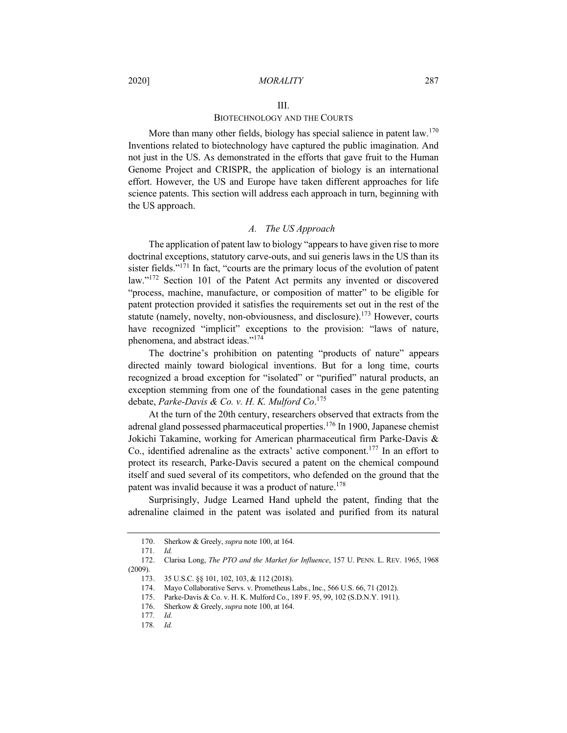#### III.

## BIOTECHNOLOGY AND THE COURTS

More than many other fields, biology has special salience in patent law.<sup>170</sup> Inventions related to biotechnology have captured the public imagination. And not just in the US. As demonstrated in the efforts that gave fruit to the Human Genome Project and CRISPR, the application of biology is an international effort. However, the US and Europe have taken different approaches for life science patents. This section will address each approach in turn, beginning with the US approach.

## *A. The US Approach*

The application of patent law to biology "appears to have given rise to more doctrinal exceptions, statutory carve-outs, and sui generis laws in the US than its sister fields."<sup>171</sup> In fact, "courts are the primary locus of the evolution of patent law."<sup>172</sup> Section 101 of the Patent Act permits any invented or discovered "process, machine, manufacture, or composition of matter" to be eligible for patent protection provided it satisfies the requirements set out in the rest of the statute (namely, novelty, non-obviousness, and disclosure).<sup>173</sup> However, courts have recognized "implicit" exceptions to the provision: "laws of nature, phenomena, and abstract ideas."<sup>174</sup>

The doctrine's prohibition on patenting "products of nature" appears directed mainly toward biological inventions. But for a long time, courts recognized a broad exception for "isolated" or "purified" natural products, an exception stemming from one of the foundational cases in the gene patenting debate, *Parke-Davis & Co. v. H. K. Mulford Co*. 175

At the turn of the 20th century, researchers observed that extracts from the adrenal gland possessed pharmaceutical properties.<sup>176</sup> In 1900, Japanese chemist Jokichi Takamine, working for American pharmaceutical firm Parke-Davis & Co., identified adrenaline as the extracts' active component.<sup>177</sup> In an effort to protect its research, Parke-Davis secured a patent on the chemical compound itself and sued several of its competitors, who defended on the ground that the patent was invalid because it was a product of nature.<sup>178</sup>

Surprisingly, Judge Learned Hand upheld the patent, finding that the adrenaline claimed in the patent was isolated and purified from its natural

<sup>170.</sup> Sherkow & Greely, *supra* note 100, at 164.

<sup>171</sup>*. Id.*

<sup>172.</sup> Clarisa Long, *The PTO and the Market for Influence*, 157 U. PENN. L. REV. 1965, 1968 (2009).

<sup>173.</sup> 35 U.S.C. §§ 101, 102, 103, & 112 (2018).

<sup>174.</sup> Mayo Collaborative Servs. v. Prometheus Labs., Inc., 566 U.S. 66, 71 (2012).

<sup>175.</sup> Parke-Davis & Co. v. H. K. Mulford Co., 189 F. 95, 99, 102 (S.D.N.Y. 1911).

<sup>176.</sup> Sherkow & Greely, *supra* note 100, at 164.

<sup>177</sup>*. Id.*

<sup>178</sup>*. Id.*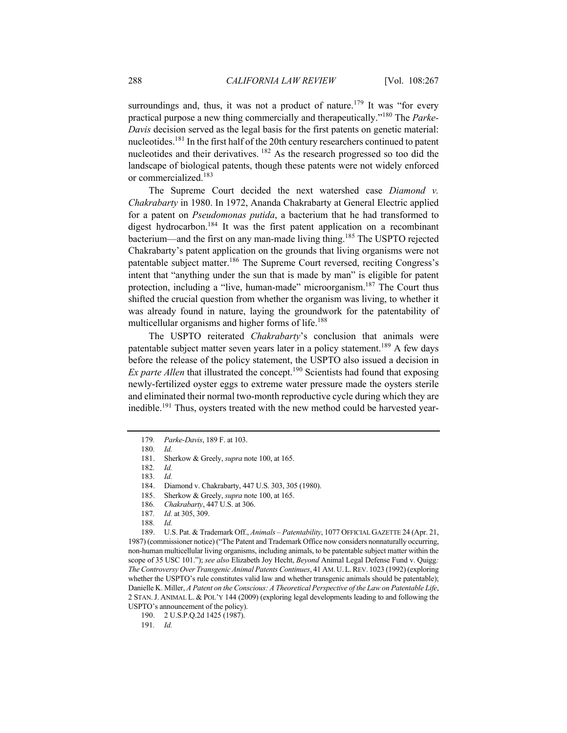surroundings and, thus, it was not a product of nature.<sup>179</sup> It was "for every practical purpose a new thing commercially and therapeutically."<sup>180</sup> The *Parke-Davis* decision served as the legal basis for the first patents on genetic material: nucleotides.<sup>181</sup> In the first half of the 20th century researchers continued to patent nucleotides and their derivatives. <sup>182</sup> As the research progressed so too did the landscape of biological patents, though these patents were not widely enforced or commercialized.<sup>183</sup>

The Supreme Court decided the next watershed case *Diamond v. Chakrabarty* in 1980. In 1972, Ananda Chakrabarty at General Electric applied for a patent on *Pseudomonas putida*, a bacterium that he had transformed to digest hydrocarbon.<sup>184</sup> It was the first patent application on a recombinant bacterium—and the first on any man-made living thing.<sup>185</sup> The USPTO rejected Chakrabarty's patent application on the grounds that living organisms were not patentable subject matter.<sup>186</sup> The Supreme Court reversed, reciting Congress's intent that "anything under the sun that is made by man" is eligible for patent protection, including a "live, human-made" microorganism.187 The Court thus shifted the crucial question from whether the organism was living, to whether it was already found in nature, laying the groundwork for the patentability of multicellular organisms and higher forms of life.<sup>188</sup>

The USPTO reiterated *Chakrabarty*'s conclusion that animals were patentable subject matter seven years later in a policy statement.<sup>189</sup> A few days before the release of the policy statement, the USPTO also issued a decision in *Ex parte Allen* that illustrated the concept.<sup>190</sup> Scientists had found that exposing newly-fertilized oyster eggs to extreme water pressure made the oysters sterile and eliminated their normal two-month reproductive cycle during which they are inedible.<sup>191</sup> Thus, oysters treated with the new method could be harvested year-

<sup>179</sup>*. Parke-Davis*, 189 F. at 103.

<sup>180</sup>*. Id.*

<sup>181.</sup> Sherkow & Greely, *supra* note 100, at 165.

<sup>182</sup>*. Id.*

<sup>183</sup>*. Id.*

<sup>184.</sup> Diamond v. Chakrabarty, 447 U.S. 303, 305 (1980).

<sup>185.</sup> Sherkow & Greely, *supra* note 100, at 165.

<sup>186</sup>*. Chakrabarty*, 447 U.S. at 306.

<sup>187</sup>*. Id.* at 305, 309.

<sup>188</sup>*. Id.*

<sup>189.</sup> U.S. Pat. & Trademark Off., *Animals – Patentability*, 1077 OFFICIAL GAZETTE 24 (Apr. 21, 1987) (commissioner notice) ("The Patent and Trademark Office now considers nonnaturally occurring, non-human multicellular living organisms, including animals, to be patentable subject matter within the scope of 35 USC 101."); *see also* Elizabeth Joy Hecht, *Beyond* Animal Legal Defense Fund v. Quigg*: The Controversy Over Transgenic Animal Patents Continues*, 41 AM.U.L.REV. 1023 (1992) (exploring whether the USPTO's rule constitutes valid law and whether transgenic animals should be patentable); Danielle K. Miller, *A Patent on the Conscious: A Theoretical Perspective of the Law on Patentable Life*, 2 STAN.J. ANIMAL L. & POL'Y 144 (2009) (exploring legal developments leading to and following the USPTO's announcement of the policy).

<sup>190.</sup> 2 U.S.P.Q.2d 1425 (1987).

<sup>191</sup>*. Id.*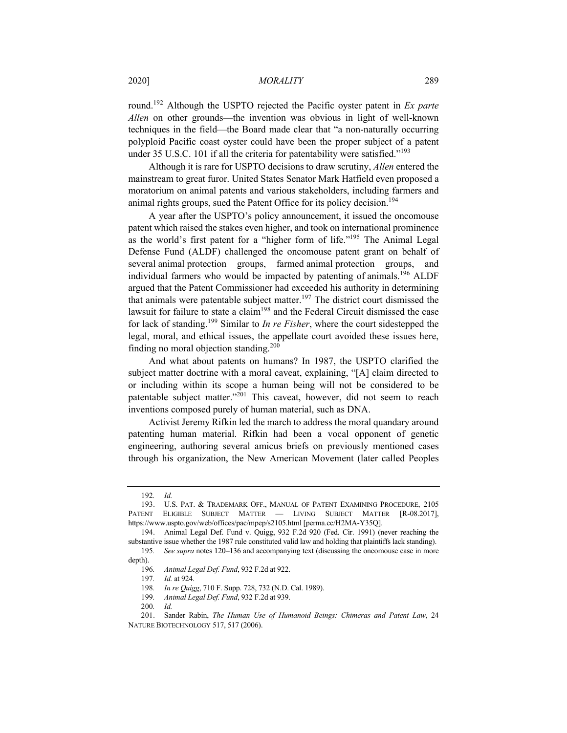## 2020] *MORALITY* 289

round.192 Although the USPTO rejected the Pacific oyster patent in *Ex parte Allen* on other grounds—the invention was obvious in light of well-known techniques in the field—the Board made clear that "a non-naturally occurring polyploid Pacific coast oyster could have been the proper subject of a patent under 35 U.S.C. 101 if all the criteria for patentability were satisfied."<sup>193</sup>

Although it is rare for USPTO decisions to draw scrutiny, *Allen* entered the mainstream to great furor. United States Senator Mark Hatfield even proposed a moratorium on animal patents and various stakeholders, including farmers and animal rights groups, sued the Patent Office for its policy decision.<sup>194</sup>

A year after the USPTO's policy announcement, it issued the oncomouse patent which raised the stakes even higher, and took on international prominence as the world's first patent for a "higher form of life."<sup>195</sup> The Animal Legal Defense Fund (ALDF) challenged the oncomouse patent grant on behalf of several animal protection groups, farmed animal protection groups, and individual farmers who would be impacted by patenting of animals.<sup>196</sup> ALDF argued that the Patent Commissioner had exceeded his authority in determining that animals were patentable subject matter.<sup>197</sup> The district court dismissed the lawsuit for failure to state a claim<sup>198</sup> and the Federal Circuit dismissed the case for lack of standing.<sup>199</sup> Similar to *In re Fisher*, where the court sidestepped the legal, moral, and ethical issues, the appellate court avoided these issues here, finding no moral objection standing.<sup>200</sup>

And what about patents on humans? In 1987, the USPTO clarified the subject matter doctrine with a moral caveat, explaining, "[A] claim directed to or including within its scope a human being will not be considered to be patentable subject matter."<sup>201</sup> This caveat, however, did not seem to reach inventions composed purely of human material, such as DNA.

Activist Jeremy Rifkin led the march to address the moral quandary around patenting human material. Rifkin had been a vocal opponent of genetic engineering, authoring several amicus briefs on previously mentioned cases through his organization, the New American Movement (later called Peoples

<sup>192</sup>*. Id.*

<sup>193.</sup> U.S. PAT. & TRADEMARK OFF., MANUAL OF PATENT EXAMINING PROCEDURE, 2105 PATENT ELIGIBLE SUBJECT MATTER — LIVING SUBJECT MATTER [R-08.2017], https://www.uspto.gov/web/offices/pac/mpep/s2105.html [perma.cc/H2MA-Y35Q].

<sup>194.</sup> Animal Legal Def. Fund v. Quigg, 932 F.2d 920 (Fed. Cir. 1991) (never reaching the substantive issue whether the 1987 rule constituted valid law and holding that plaintiffs lack standing).

<sup>195</sup>*. See supra* notes 120–136 and accompanying text (discussing the oncomouse case in more depth).

<sup>196</sup>*. Animal Legal Def. Fund*, 932 F.2d at 922.

<sup>197</sup>*. Id.* at 924.

<sup>198</sup>*. In re Quigg*, 710 F. Supp. 728, 732 (N.D. Cal. 1989).

<sup>199</sup>*. Animal Legal Def. Fund*, 932 F.2d at 939.

<sup>200</sup>*. Id.*

<sup>201.</sup> Sander Rabin, *The Human Use of Humanoid Beings: Chimeras and Patent Law*, 24 NATURE BIOTECHNOLOGY 517, 517 (2006).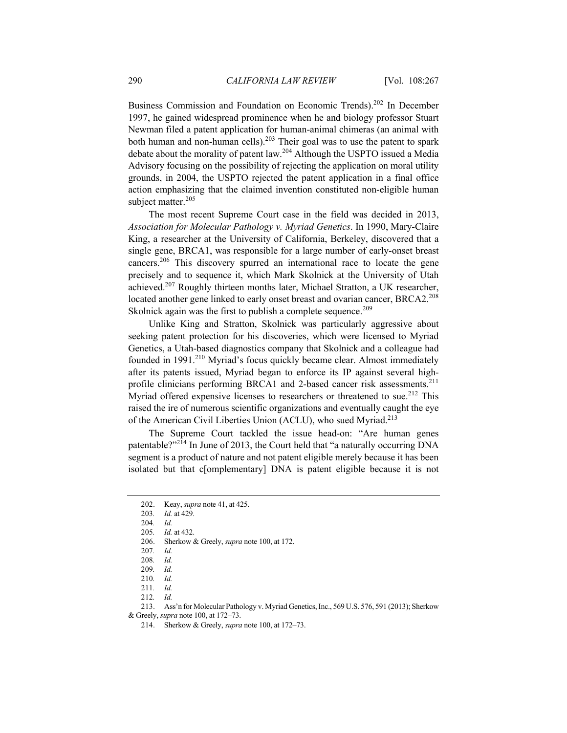Business Commission and Foundation on Economic Trends).<sup>202</sup> In December 1997, he gained widespread prominence when he and biology professor Stuart Newman filed a patent application for human-animal chimeras (an animal with both human and non-human cells).<sup>203</sup> Their goal was to use the patent to spark debate about the morality of patent law.<sup>204</sup> Although the USPTO issued a Media Advisory focusing on the possibility of rejecting the application on moral utility grounds, in 2004, the USPTO rejected the patent application in a final office action emphasizing that the claimed invention constituted non-eligible human subject matter.<sup>205</sup>

The most recent Supreme Court case in the field was decided in 2013, *Association for Molecular Pathology v. Myriad Genetics*. In 1990, Mary-Claire King, a researcher at the University of California, Berkeley, discovered that a single gene, BRCA1, was responsible for a large number of early-onset breast cancers.206 This discovery spurred an international race to locate the gene precisely and to sequence it, which Mark Skolnick at the University of Utah achieved.207 Roughly thirteen months later, Michael Stratton, a UK researcher, located another gene linked to early onset breast and ovarian cancer, BRCA2.<sup>208</sup> Skolnick again was the first to publish a complete sequence.<sup>209</sup>

Unlike King and Stratton, Skolnick was particularly aggressive about seeking patent protection for his discoveries, which were licensed to Myriad Genetics, a Utah-based diagnostics company that Skolnick and a colleague had founded in  $1991<sup>210</sup>$  Myriad's focus quickly became clear. Almost immediately after its patents issued, Myriad began to enforce its IP against several highprofile clinicians performing BRCA1 and 2-based cancer risk assessments.<sup>211</sup> Myriad offered expensive licenses to researchers or threatened to sue.<sup>212</sup> This raised the ire of numerous scientific organizations and eventually caught the eye of the American Civil Liberties Union (ACLU), who sued Myriad.<sup>213</sup>

The Supreme Court tackled the issue head-on: "Are human genes patentable?"<sup>214</sup> In June of 2013, the Court held that "a naturally occurring DNA segment is a product of nature and not patent eligible merely because it has been isolated but that c[omplementary] DNA is patent eligible because it is not

<sup>202.</sup> Keay, *supra* note 41, at 425.

<sup>203</sup>*. Id.* at 429.

<sup>204</sup>*. Id.*

<sup>205</sup>*. Id.* at 432.

<sup>206.</sup> Sherkow & Greely, *supra* note 100, at 172.

<sup>207</sup>*. Id.*

<sup>208</sup>*. Id.*

<sup>209</sup>*. Id.*

<sup>210</sup>*. Id.*

<sup>211</sup>*. Id.*

<sup>212</sup>*. Id.*

<sup>213.</sup> Ass'n for Molecular Pathology v. Myriad Genetics, Inc., 569 U.S. 576, 591 (2013); Sherkow

<sup>&</sup>amp; Greely, *supra* note 100, at 172–73.

<sup>214.</sup> Sherkow & Greely, *supra* note 100, at 172–73.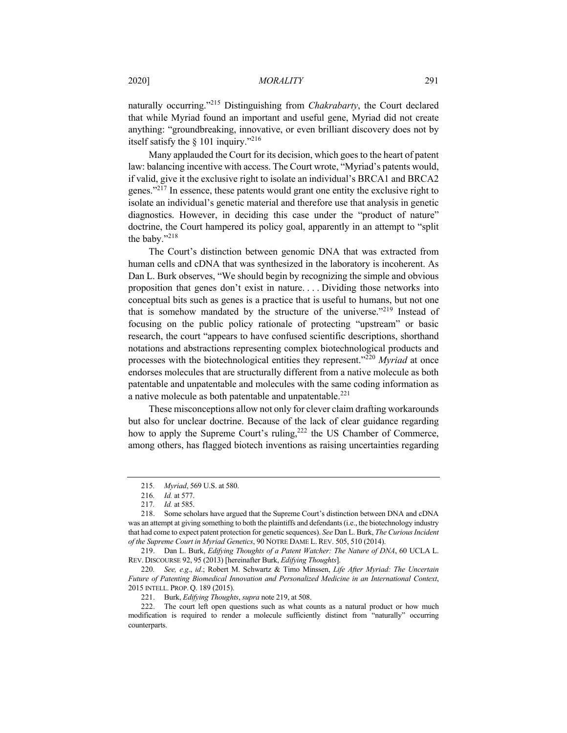naturally occurring."<sup>215</sup> Distinguishing from *Chakrabarty*, the Court declared that while Myriad found an important and useful gene, Myriad did not create anything: "groundbreaking, innovative, or even brilliant discovery does not by itself satisfy the § 101 inquiry."216

Many applauded the Court for its decision, which goes to the heart of patent law: balancing incentive with access. The Court wrote, "Myriad's patents would, if valid, give it the exclusive right to isolate an individual's BRCA1 and BRCA2 genes."<sup>217</sup> In essence, these patents would grant one entity the exclusive right to isolate an individual's genetic material and therefore use that analysis in genetic diagnostics. However, in deciding this case under the "product of nature" doctrine, the Court hampered its policy goal, apparently in an attempt to "split the baby."<sup>218</sup>

The Court's distinction between genomic DNA that was extracted from human cells and cDNA that was synthesized in the laboratory is incoherent. As Dan L. Burk observes, "We should begin by recognizing the simple and obvious proposition that genes don't exist in nature. . . . Dividing those networks into conceptual bits such as genes is a practice that is useful to humans, but not one that is somehow mandated by the structure of the universe."<sup>219</sup> Instead of focusing on the public policy rationale of protecting "upstream" or basic research, the court "appears to have confused scientific descriptions, shorthand notations and abstractions representing complex biotechnological products and processes with the biotechnological entities they represent."<sup>220</sup> *Myriad* at once endorses molecules that are structurally different from a native molecule as both patentable and unpatentable and molecules with the same coding information as a native molecule as both patentable and unpatentable.<sup>221</sup>

These misconceptions allow not only for clever claim drafting workarounds but also for unclear doctrine. Because of the lack of clear guidance regarding how to apply the Supreme Court's ruling,<sup>222</sup> the US Chamber of Commerce, among others, has flagged biotech inventions as raising uncertainties regarding

219. Dan L. Burk, *Edifying Thoughts of a Patent Watcher: The Nature of DNA*, 60 UCLA L. REV. DISCOURSE 92, 95 (2013) [hereinafter Burk, *Edifying Thoughts*].

220*. See, e.g*., *id*.; Robert M. Schwartz & Timo Minssen, *Life After Myriad: The Uncertain Future of Patenting Biomedical Innovation and Personalized Medicine in an International Context*, 2015 INTELL. PROP. Q. 189 (2015).

221. Burk, *Edifying Thoughts*, *supra* note 219, at 508.

<sup>215</sup>*. Myriad*, 569 U.S. at 580.

<sup>216</sup>*. Id.* at 577.

<sup>217</sup>*. Id.* at 585.

<sup>218.</sup> Some scholars have argued that the Supreme Court's distinction between DNA and cDNA was an attempt at giving something to both the plaintiffs and defendants (i.e., the biotechnology industry that had come to expect patent protection for genetic sequences). *See* Dan L. Burk, *The Curious Incident of the Supreme Court in Myriad Genetics*, 90 NOTRE DAME L. REV. 505, 510 (2014).

<sup>222.</sup> The court left open questions such as what counts as a natural product or how much modification is required to render a molecule sufficiently distinct from "naturally" occurring counterparts.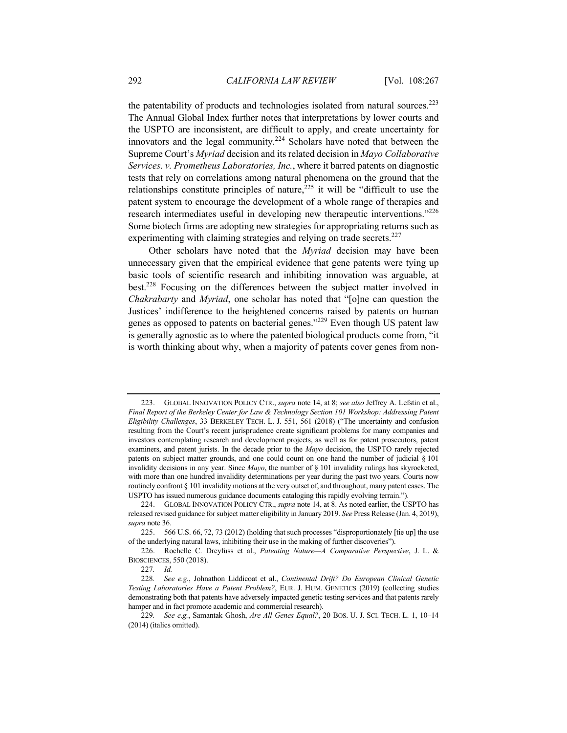the patentability of products and technologies isolated from natural sources.<sup>223</sup> The Annual Global Index further notes that interpretations by lower courts and the USPTO are inconsistent, are difficult to apply, and create uncertainty for innovators and the legal community.<sup>224</sup> Scholars have noted that between the Supreme Court's *Myriad* decision and its related decision in *Mayo Collaborative Services. v. Prometheus Laboratories, Inc.*, where it barred patents on diagnostic tests that rely on correlations among natural phenomena on the ground that the relationships constitute principles of nature,  $225$  it will be "difficult to use the patent system to encourage the development of a whole range of therapies and research intermediates useful in developing new therapeutic interventions."<sup>226</sup> Some biotech firms are adopting new strategies for appropriating returns such as experimenting with claiming strategies and relying on trade secrets. $227$ 

Other scholars have noted that the *Myriad* decision may have been unnecessary given that the empirical evidence that gene patents were tying up basic tools of scientific research and inhibiting innovation was arguable, at best.228 Focusing on the differences between the subject matter involved in *Chakrabarty* and *Myriad*, one scholar has noted that "[o]ne can question the Justices' indifference to the heightened concerns raised by patents on human genes as opposed to patents on bacterial genes."<sup>229</sup> Even though US patent law is generally agnostic as to where the patented biological products come from, "it is worth thinking about why, when a majority of patents cover genes from non-

<sup>223.</sup> GLOBAL INNOVATION POLICY CTR., *supra* note 14, at 8; *see also* Jeffrey A. Lefstin et al., *Final Report of the Berkeley Center for Law & Technology Section 101 Workshop: Addressing Patent Eligibility Challenges*, 33 BERKELEY TECH. L. J. 551, 561 (2018) ("The uncertainty and confusion resulting from the Court's recent jurisprudence create significant problems for many companies and investors contemplating research and development projects, as well as for patent prosecutors, patent examiners, and patent jurists. In the decade prior to the *Mayo* decision, the USPTO rarely rejected patents on subject matter grounds, and one could count on one hand the number of judicial § 101 invalidity decisions in any year. Since *Mayo*, the number of § 101 invalidity rulings has skyrocketed, with more than one hundred invalidity determinations per year during the past two years. Courts now routinely confront § 101 invalidity motions at the very outset of, and throughout, many patent cases. The USPTO has issued numerous guidance documents cataloging this rapidly evolving terrain.").

<sup>224.</sup> GLOBAL INNOVATION POLICY CTR., *supra* note 14, at 8. As noted earlier, the USPTO has released revised guidance for subject matter eligibility in January 2019. *See* Press Release (Jan. 4, 2019), *supra* note 36.

<sup>225.</sup> 566 U.S. 66, 72, 73 (2012) (holding that such processes "disproportionately [tie up] the use of the underlying natural laws, inhibiting their use in the making of further discoveries").

<sup>226.</sup> Rochelle C. Dreyfuss et al., *Patenting Nature—A Comparative Perspective*, J. L. & BIOSCIENCES, 550 (2018).

<sup>227</sup>*. Id.*

<sup>228</sup>*. See e.g.*, Johnathon Liddicoat et al., *Continental Drift? Do European Clinical Genetic Testing Laboratories Have a Patent Problem?*, EUR. J. HUM. GENETICS (2019) (collecting studies demonstrating both that patents have adversely impacted genetic testing services and that patents rarely hamper and in fact promote academic and commercial research).

<sup>229</sup>*. See e.g.*, Samantak Ghosh, *Are All Genes Equal?*, 20 BOS. U. J. SCI. TECH. L. 1, 10–14 (2014) (italics omitted).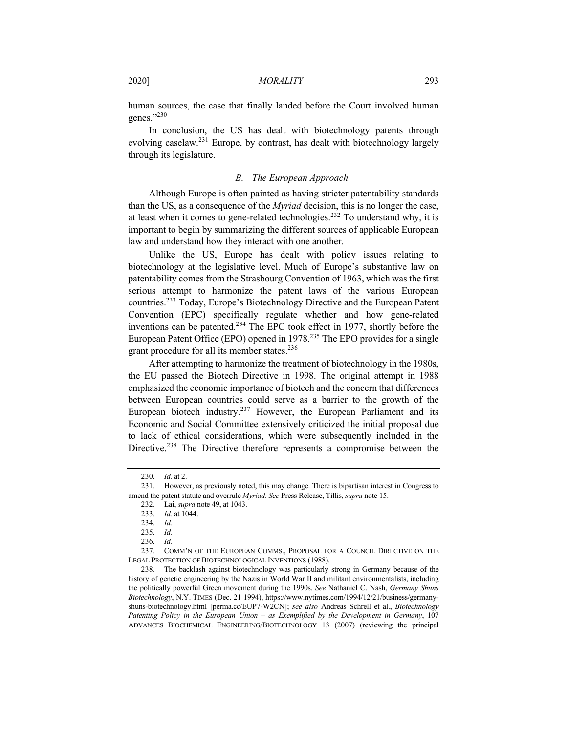human sources, the case that finally landed before the Court involved human genes."<sup>230</sup>

In conclusion, the US has dealt with biotechnology patents through evolving caselaw.<sup>231</sup> Europe, by contrast, has dealt with biotechnology largely through its legislature.

## *B. The European Approach*

Although Europe is often painted as having stricter patentability standards than the US, as a consequence of the *Myriad* decision, this is no longer the case, at least when it comes to gene-related technologies.<sup>232</sup> To understand why, it is important to begin by summarizing the different sources of applicable European law and understand how they interact with one another.

Unlike the US, Europe has dealt with policy issues relating to biotechnology at the legislative level. Much of Europe's substantive law on patentability comes from the Strasbourg Convention of 1963, which was the first serious attempt to harmonize the patent laws of the various European countries.233 Today, Europe's Biotechnology Directive and the European Patent Convention (EPC) specifically regulate whether and how gene-related inventions can be patented.<sup>234</sup> The EPC took effect in 1977, shortly before the European Patent Office (EPO) opened in 1978.<sup>235</sup> The EPO provides for a single grant procedure for all its member states.<sup>236</sup>

After attempting to harmonize the treatment of biotechnology in the 1980s, the EU passed the Biotech Directive in 1998. The original attempt in 1988 emphasized the economic importance of biotech and the concern that differences between European countries could serve as a barrier to the growth of the European biotech industry.<sup>237</sup> However, the European Parliament and its Economic and Social Committee extensively criticized the initial proposal due to lack of ethical considerations, which were subsequently included in the Directive.<sup>238</sup> The Directive therefore represents a compromise between the

<sup>230</sup>*. Id.* at 2.

<sup>231.</sup> However, as previously noted, this may change. There is bipartisan interest in Congress to amend the patent statute and overrule *Myriad*. *See* Press Release, Tillis, *supra* note 15.

<sup>232.</sup> Lai, *supra* note 49, at 1043.

<sup>233</sup>*. Id.* at 1044.

<sup>234</sup>*. Id.*

<sup>235</sup>*. Id.*

<sup>236</sup>*. Id.*

<sup>237.</sup> COMM'N OF THE EUROPEAN COMMS., PROPOSAL FOR A COUNCIL DIRECTIVE ON THE LEGAL PROTECTION OF BIOTECHNOLOGICAL INVENTIONS (1988).

<sup>238.</sup> The backlash against biotechnology was particularly strong in Germany because of the history of genetic engineering by the Nazis in World War II and militant environmentalists, including the politically powerful Green movement during the 1990s. *See* Nathaniel C. Nash, *Germany Shuns Biotechnology*, N.Y. TIMES (Dec. 21 1994), https://www.nytimes.com/1994/12/21/business/germanyshuns-biotechnology.html [perma.cc/EUP7-W2CN]; *see also* Andreas Schrell et al., *Biotechnology Patenting Policy in the European Union – as Exemplified by the Development in Germany*, 107 ADVANCES BIOCHEMICAL ENGINEERING/BIOTECHNOLOGY 13 (2007) (reviewing the principal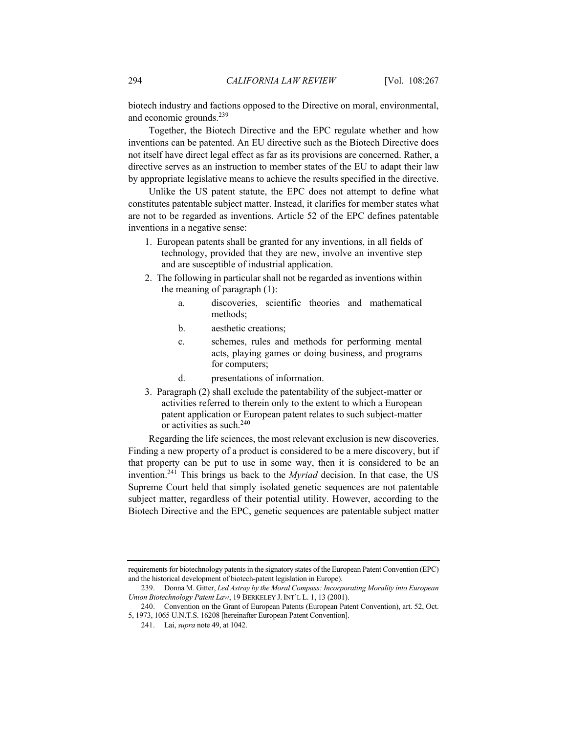biotech industry and factions opposed to the Directive on moral, environmental, and economic grounds.<sup>239</sup>

Together, the Biotech Directive and the EPC regulate whether and how inventions can be patented. An EU directive such as the Biotech Directive does not itself have direct legal effect as far as its provisions are concerned. Rather, a directive serves as an instruction to member states of the EU to adapt their law by appropriate legislative means to achieve the results specified in the directive.

Unlike the US patent statute, the EPC does not attempt to define what constitutes patentable subject matter. Instead, it clarifies for member states what are not to be regarded as inventions. Article 52 of the EPC defines patentable inventions in a negative sense:

- 1. European patents shall be granted for any inventions, in all fields of technology, provided that they are new, involve an inventive step and are susceptible of industrial application.
- 2. The following in particular shall not be regarded as inventions within the meaning of paragraph (1):
	- a. discoveries, scientific theories and mathematical methods;
	- b. aesthetic creations;
	- c. schemes, rules and methods for performing mental acts, playing games or doing business, and programs for computers;
	- d. presentations of information.
- 3. Paragraph (2) shall exclude the patentability of the subject-matter or activities referred to therein only to the extent to which a European patent application or European patent relates to such subject-matter or activities as such.<sup>240</sup>

Regarding the life sciences, the most relevant exclusion is new discoveries. Finding a new property of a product is considered to be a mere discovery, but if that property can be put to use in some way, then it is considered to be an invention.241 This brings us back to the *Myriad* decision. In that case, the US Supreme Court held that simply isolated genetic sequences are not patentable subject matter, regardless of their potential utility. However, according to the Biotech Directive and the EPC, genetic sequences are patentable subject matter

requirements for biotechnology patents in the signatory states of the European Patent Convention (EPC) and the historical development of biotech-patent legislation in Europe).

<sup>239.</sup> Donna M. Gitter, *Led Astray by the Moral Compass: Incorporating Morality into European Union Biotechnology Patent Law*, 19 BERKELEY J. INT'L L. 1, 13 (2001).

<sup>240.</sup> Convention on the Grant of European Patents (European Patent Convention), art. 52, Oct. 5, 1973, 1065 U.N.T.S. 16208 [hereinafter European Patent Convention].

<sup>241.</sup> Lai, *supra* note 49, at 1042.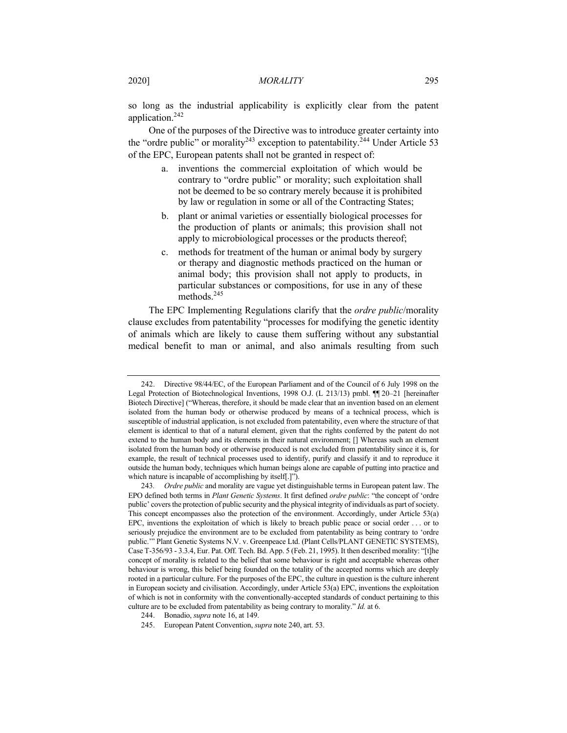so long as the industrial applicability is explicitly clear from the patent application.<sup>242</sup>

One of the purposes of the Directive was to introduce greater certainty into the "ordre public" or morality<sup>243</sup> exception to patentability.<sup>244</sup> Under Article 53 of the EPC, European patents shall not be granted in respect of:

- a. inventions the commercial exploitation of which would be contrary to "ordre public" or morality; such exploitation shall not be deemed to be so contrary merely because it is prohibited by law or regulation in some or all of the Contracting States;
- b. plant or animal varieties or essentially biological processes for the production of plants or animals; this provision shall not apply to microbiological processes or the products thereof;
- c. methods for treatment of the human or animal body by surgery or therapy and diagnostic methods practiced on the human or animal body; this provision shall not apply to products, in particular substances or compositions, for use in any of these methods.245

The EPC Implementing Regulations clarify that the *ordre public*/morality clause excludes from patentability "processes for modifying the genetic identity of animals which are likely to cause them suffering without any substantial medical benefit to man or animal, and also animals resulting from such

<sup>242.</sup> Directive 98/44/EC, of the European Parliament and of the Council of 6 July 1998 on the Legal Protection of Biotechnological Inventions, 1998 O.J. (L 213/13) pmbl. ¶¶ 20–21 [hereinafter Biotech Directive] ("Whereas, therefore, it should be made clear that an invention based on an element isolated from the human body or otherwise produced by means of a technical process, which is susceptible of industrial application, is not excluded from patentability, even where the structure of that element is identical to that of a natural element, given that the rights conferred by the patent do not extend to the human body and its elements in their natural environment; [] Whereas such an element isolated from the human body or otherwise produced is not excluded from patentability since it is, for example, the result of technical processes used to identify, purify and classify it and to reproduce it outside the human body, techniques which human beings alone are capable of putting into practice and which nature is incapable of accomplishing by itself[.]").

<sup>243</sup>*. Ordre public* and morality are vague yet distinguishable terms in European patent law. The EPO defined both terms in *Plant Genetic Systems*. It first defined *ordre public*: "the concept of 'ordre public' covers the protection of public security and the physical integrity of individuals as part of society. This concept encompasses also the protection of the environment. Accordingly, under Article 53(a) EPC, inventions the exploitation of which is likely to breach public peace or social order . . . or to seriously prejudice the environment are to be excluded from patentability as being contrary to 'ordre public.'" Plant Genetic Systems N.V. v. Greenpeace Ltd. (Plant Cells/PLANT GENETIC SYSTEMS), Case T-356/93 - 3.3.4, Eur. Pat. Off. Tech. Bd. App. 5 (Feb. 21, 1995). It then described morality: "[t]he concept of morality is related to the belief that some behaviour is right and acceptable whereas other behaviour is wrong, this belief being founded on the totality of the accepted norms which are deeply rooted in a particular culture. For the purposes of the EPC, the culture in question is the culture inherent in European society and civilisation. Accordingly, under Article 53(a) EPC, inventions the exploitation of which is not in conformity with the conventionally-accepted standards of conduct pertaining to this culture are to be excluded from patentability as being contrary to morality." *Id.* at 6.

<sup>244.</sup> Bonadio, *supra* note 16, at 149.

<sup>245.</sup> European Patent Convention, *supra* note 240, art. 53.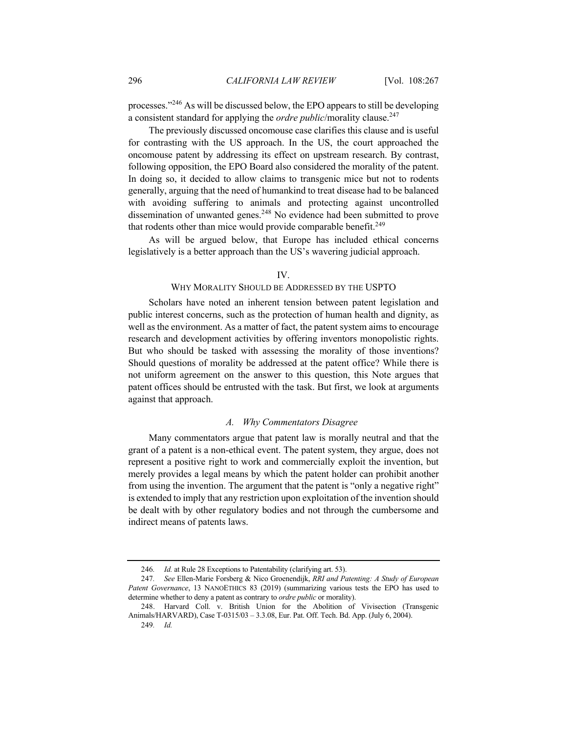processes."246 As will be discussed below, the EPO appears to still be developing a consistent standard for applying the *ordre public*/morality clause.<sup>247</sup>

The previously discussed oncomouse case clarifies this clause and is useful for contrasting with the US approach. In the US, the court approached the oncomouse patent by addressing its effect on upstream research. By contrast, following opposition, the EPO Board also considered the morality of the patent. In doing so, it decided to allow claims to transgenic mice but not to rodents generally, arguing that the need of humankind to treat disease had to be balanced with avoiding suffering to animals and protecting against uncontrolled dissemination of unwanted genes.<sup>248</sup> No evidence had been submitted to prove that rodents other than mice would provide comparable benefit.<sup>249</sup>

As will be argued below, that Europe has included ethical concerns legislatively is a better approach than the US's wavering judicial approach.

IV.

#### WHY MORALITY SHOULD BE ADDRESSED BY THE USPTO

Scholars have noted an inherent tension between patent legislation and public interest concerns, such as the protection of human health and dignity, as well as the environment. As a matter of fact, the patent system aims to encourage research and development activities by offering inventors monopolistic rights. But who should be tasked with assessing the morality of those inventions? Should questions of morality be addressed at the patent office? While there is not uniform agreement on the answer to this question, this Note argues that patent offices should be entrusted with the task. But first, we look at arguments against that approach.

## *A. Why Commentators Disagree*

Many commentators argue that patent law is morally neutral and that the grant of a patent is a non-ethical event. The patent system, they argue, does not represent a positive right to work and commercially exploit the invention, but merely provides a legal means by which the patent holder can prohibit another from using the invention. The argument that the patent is "only a negative right" is extended to imply that any restriction upon exploitation of the invention should be dealt with by other regulatory bodies and not through the cumbersome and indirect means of patents laws.

<sup>246</sup>*. Id.* at Rule 28 Exceptions to Patentability (clarifying art. 53).

<sup>247</sup>*. See* Ellen-Marie Forsberg & Nico Groenendijk, *RRI and Patenting: A Study of European Patent Governance*, 13 NANOETHICS 83 (2019) (summarizing various tests the EPO has used to determine whether to deny a patent as contrary to *ordre public* or morality).

<sup>248.</sup> Harvard Coll. v. British Union for the Abolition of Vivisection (Transgenic Animals/HARVARD), Case T-0315/03 – 3.3.08, Eur. Pat. Off. Tech. Bd. App. (July 6, 2004). 249*. Id.*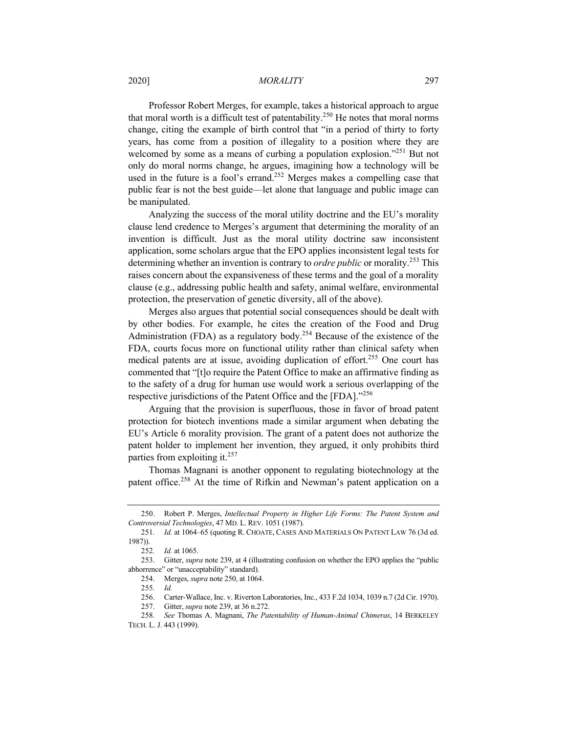2020] *MORALITY* 297

Professor Robert Merges, for example, takes a historical approach to argue that moral worth is a difficult test of patentability.<sup>250</sup> He notes that moral norms change, citing the example of birth control that "in a period of thirty to forty years, has come from a position of illegality to a position where they are welcomed by some as a means of curbing a population explosion."<sup>251</sup> But not only do moral norms change, he argues, imagining how a technology will be used in the future is a fool's errand.<sup>252</sup> Merges makes a compelling case that public fear is not the best guide—let alone that language and public image can be manipulated.

Analyzing the success of the moral utility doctrine and the EU's morality clause lend credence to Merges's argument that determining the morality of an invention is difficult. Just as the moral utility doctrine saw inconsistent application, some scholars argue that the EPO applies inconsistent legal tests for determining whether an invention is contrary to *ordre public* or morality.<sup>253</sup> This raises concern about the expansiveness of these terms and the goal of a morality clause (e.g., addressing public health and safety, animal welfare, environmental protection, the preservation of genetic diversity, all of the above).

Merges also argues that potential social consequences should be dealt with by other bodies. For example, he cites the creation of the Food and Drug Administration (FDA) as a regulatory body.<sup>254</sup> Because of the existence of the FDA, courts focus more on functional utility rather than clinical safety when medical patents are at issue, avoiding duplication of effort.<sup>255</sup> One court has commented that "[t]o require the Patent Office to make an affirmative finding as to the safety of a drug for human use would work a serious overlapping of the respective jurisdictions of the Patent Office and the [FDA]."<sup>256</sup>

Arguing that the provision is superfluous, those in favor of broad patent protection for biotech inventions made a similar argument when debating the EU's Article 6 morality provision. The grant of a patent does not authorize the patent holder to implement her invention, they argued, it only prohibits third parties from exploiting it. $257$ 

Thomas Magnani is another opponent to regulating biotechnology at the patent office.<sup>258</sup> At the time of Rifkin and Newman's patent application on a

<sup>250.</sup> Robert P. Merges, *Intellectual Property in Higher Life Forms: The Patent System and Controversial Technologies*, 47 MD. L. REV. 1051 (1987).

<sup>251</sup>*. Id.* at 1064–65 (quoting R. CHOATE, CASES AND MATERIALS ON PATENT LAW 76 (3d ed. 1987)).

<sup>252</sup>*. Id.* at 1065.

<sup>253.</sup> Gitter, *supra* note 239, at 4 (illustrating confusion on whether the EPO applies the "public abhorrence" or "unacceptability" standard).

<sup>254.</sup> Merges, *supra* note 250, at 1064.

<sup>255</sup>*. Id.*

<sup>256.</sup> Carter-Wallace, Inc. v. Riverton Laboratories, Inc., 433 F.2d 1034, 1039 n.7 (2d Cir. 1970).

<sup>257.</sup> Gitter, *supra* note 239, at 36 n.272.

<sup>258</sup>*. See* Thomas A. Magnani, *The Patentability of Human-Animal Chimeras*, 14 BERKELEY TECH. L. J. 443 (1999).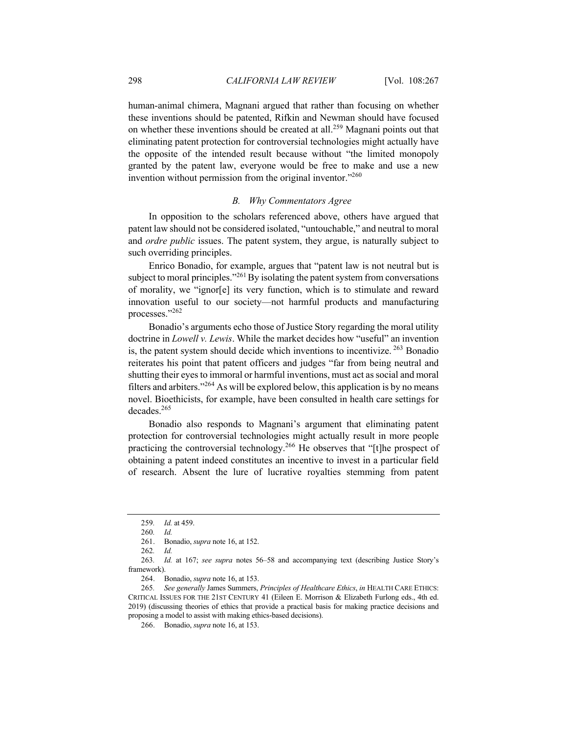human-animal chimera, Magnani argued that rather than focusing on whether these inventions should be patented, Rifkin and Newman should have focused on whether these inventions should be created at all.<sup>259</sup> Magnani points out that eliminating patent protection for controversial technologies might actually have the opposite of the intended result because without "the limited monopoly granted by the patent law, everyone would be free to make and use a new invention without permission from the original inventor."<sup>260</sup>

## *B. Why Commentators Agree*

In opposition to the scholars referenced above, others have argued that patent law should not be considered isolated, "untouchable," and neutral to moral and *ordre public* issues. The patent system, they argue, is naturally subject to such overriding principles.

Enrico Bonadio, for example, argues that "patent law is not neutral but is subject to moral principles."<sup>261</sup>By isolating the patent system from conversations of morality, we "ignor[e] its very function, which is to stimulate and reward innovation useful to our society—not harmful products and manufacturing processes."262

Bonadio's arguments echo those of Justice Story regarding the moral utility doctrine in *Lowell v. Lewis*. While the market decides how "useful" an invention is, the patent system should decide which inventions to incentivize. <sup>263</sup> Bonadio reiterates his point that patent officers and judges "far from being neutral and shutting their eyes to immoral or harmful inventions, must act as social and moral filters and arbiters."<sup>264</sup> As will be explored below, this application is by no means novel. Bioethicists, for example, have been consulted in health care settings for decades.265

Bonadio also responds to Magnani's argument that eliminating patent protection for controversial technologies might actually result in more people practicing the controversial technology.<sup>266</sup> He observes that "[t]he prospect of obtaining a patent indeed constitutes an incentive to invest in a particular field of research. Absent the lure of lucrative royalties stemming from patent

<sup>259</sup>*. Id.* at 459.

<sup>260</sup>*. Id.*

<sup>261.</sup> Bonadio, *supra* note 16, at 152.

<sup>262</sup>*. Id.*

<sup>263</sup>*. Id.* at 167; *see supra* notes 56–58 and accompanying text (describing Justice Story's framework).

<sup>264.</sup> Bonadio, *supra* note 16, at 153.

<sup>265</sup>*. See generally* James Summers, *Principles of Healthcare Ethics*, *in* HEALTH CARE ETHICS: CRITICAL ISSUES FOR THE 21ST CENTURY 41 (Eileen E. Morrison & Elizabeth Furlong eds., 4th ed. 2019) (discussing theories of ethics that provide a practical basis for making practice decisions and proposing a model to assist with making ethics-based decisions).

<sup>266.</sup> Bonadio, *supra* note 16, at 153.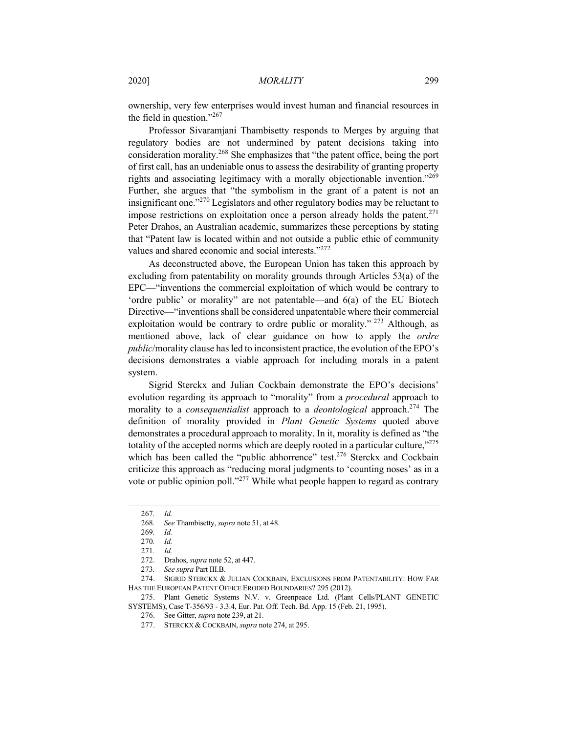ownership, very few enterprises would invest human and financial resources in the field in question." $267$ 

Professor Sivaramjani Thambisetty responds to Merges by arguing that regulatory bodies are not undermined by patent decisions taking into consideration morality.268 She emphasizes that "the patent office, being the port of first call, has an undeniable onus to assess the desirability of granting property rights and associating legitimacy with a morally objectionable invention."<sup>269</sup> Further, she argues that "the symbolism in the grant of a patent is not an insignificant one."<sup>270</sup> Legislators and other regulatory bodies may be reluctant to impose restrictions on exploitation once a person already holds the patent.<sup>271</sup> Peter Drahos, an Australian academic, summarizes these perceptions by stating that "Patent law is located within and not outside a public ethic of community values and shared economic and social interests."<sup>272</sup>

As deconstructed above, the European Union has taken this approach by excluding from patentability on morality grounds through Articles 53(a) of the EPC—"inventions the commercial exploitation of which would be contrary to 'ordre public' or morality" are not patentable—and 6(a) of the EU Biotech Directive—"inventions shall be considered unpatentable where their commercial exploitation would be contrary to ordre public or morality." <sup>273</sup> Although, as mentioned above, lack of clear guidance on how to apply the *ordre public*/morality clause has led to inconsistent practice, the evolution of the EPO's decisions demonstrates a viable approach for including morals in a patent system.

Sigrid Sterckx and Julian Cockbain demonstrate the EPO's decisions' evolution regarding its approach to "morality" from a *procedural* approach to morality to a *consequentialist* approach to a *deontological* approach.<sup>274</sup> The definition of morality provided in *Plant Genetic Systems* quoted above demonstrates a procedural approach to morality. In it, morality is defined as "the totality of the accepted norms which are deeply rooted in a particular culture,"<sup>275</sup> which has been called the "public abhorrence" test.<sup>276</sup> Sterckx and Cockbain criticize this approach as "reducing moral judgments to 'counting noses' as in a vote or public opinion poll."<sup>277</sup> While what people happen to regard as contrary

274. SIGRID STERCKX & JULIAN COCKBAIN, EXCLUSIONS FROM PATENTABILITY: HOW FAR HAS THE EUROPEAN PATENT OFFICE ERODED BOUNDARIES? 295 (2012).

275. Plant Genetic Systems N.V. v. Greenpeace Ltd. (Plant Cells/PLANT GENETIC SYSTEMS), Case T-356/93 - 3.3.4, Eur. Pat. Off. Tech. Bd. App. 15 (Feb. 21, 1995).

276. See Gitter, *supra* note 239, at 21.

<sup>267</sup>*. Id.*

<sup>268</sup>*. See* Thambisetty, *supra* note 51, at 48.

<sup>269</sup>*. Id.*

<sup>270</sup>*. Id.*

<sup>271</sup>*. Id.*

<sup>272.</sup> Drahos, *supra* note 52, at 447.

<sup>273</sup>*. See supra* Part III.B.

<sup>277.</sup> STERCKX & COCKBAIN, *supra* note 274, at 295.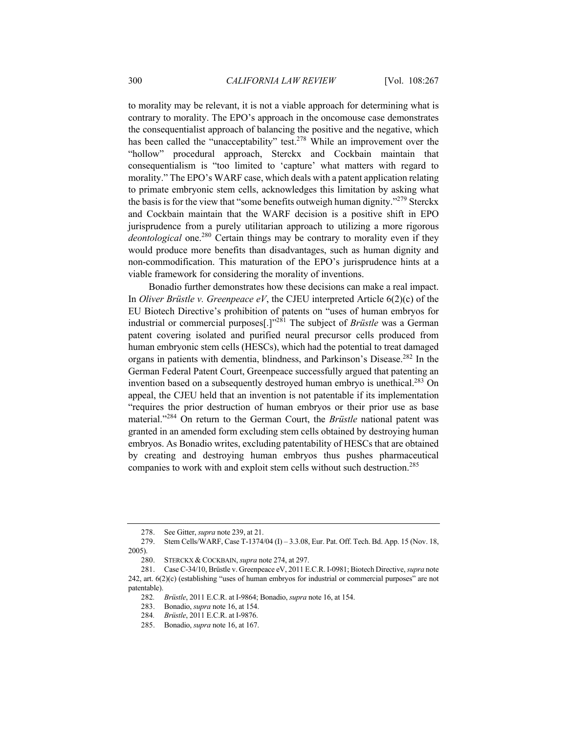to morality may be relevant, it is not a viable approach for determining what is contrary to morality. The EPO's approach in the oncomouse case demonstrates the consequentialist approach of balancing the positive and the negative, which has been called the "unacceptability" test.<sup>278</sup> While an improvement over the "hollow" procedural approach, Sterckx and Cockbain maintain that consequentialism is "too limited to 'capture' what matters with regard to morality." The EPO's WARF case, which deals with a patent application relating to primate embryonic stem cells, acknowledges this limitation by asking what the basis is for the view that "some benefits outweigh human dignity."<sup>279</sup> Sterckx and Cockbain maintain that the WARF decision is a positive shift in EPO jurisprudence from a purely utilitarian approach to utilizing a more rigorous *deontological* one.<sup>280</sup> Certain things may be contrary to morality even if they would produce more benefits than disadvantages, such as human dignity and non-commodification. This maturation of the EPO's jurisprudence hints at a viable framework for considering the morality of inventions.

Bonadio further demonstrates how these decisions can make a real impact. In *Oliver Brüstle v. Greenpeace eV*, the CJEU interpreted Article 6(2)(c) of the EU Biotech Directive's prohibition of patents on "uses of human embryos for industrial or commercial purposes[.]"281 The subject of *Brüstle* was a German patent covering isolated and purified neural precursor cells produced from human embryonic stem cells (HESCs), which had the potential to treat damaged organs in patients with dementia, blindness, and Parkinson's Disease.282 In the German Federal Patent Court, Greenpeace successfully argued that patenting an invention based on a subsequently destroyed human embryo is unethical.<sup>283</sup> On appeal, the CJEU held that an invention is not patentable if its implementation "requires the prior destruction of human embryos or their prior use as base material."<sup>284</sup> On return to the German Court, the *Brüstle* national patent was granted in an amended form excluding stem cells obtained by destroying human embryos. As Bonadio writes, excluding patentability of HESCs that are obtained by creating and destroying human embryos thus pushes pharmaceutical companies to work with and exploit stem cells without such destruction.<sup>285</sup>

<sup>278.</sup> See Gitter, *supra* note 239, at 21.

<sup>279.</sup> Stem Cells/WARF, Case T-1374/04 (I) – 3.3.08, Eur. Pat. Off. Tech. Bd. App. 15 (Nov. 18, 2005).

<sup>280.</sup> STERCKX & COCKBAIN, *supra* note 274, at 297.

<sup>281.</sup> Case C-34/10, Brüstle v. Greenpeace eV, 2011 E.C.R. I-0981; Biotech Directive, *supra* note 242, art. 6(2)(c) (establishing "uses of human embryos for industrial or commercial purposes" are not patentable).

<sup>282</sup>*. Brüstle*, 2011 E.C.R. at I-9864; Bonadio, *supra* note 16, at 154.

<sup>283.</sup> Bonadio, *supra* note 16, at 154.

<sup>284</sup>*. Brüstle*, 2011 E.C.R. at I-9876.

<sup>285.</sup> Bonadio, *supra* note 16, at 167.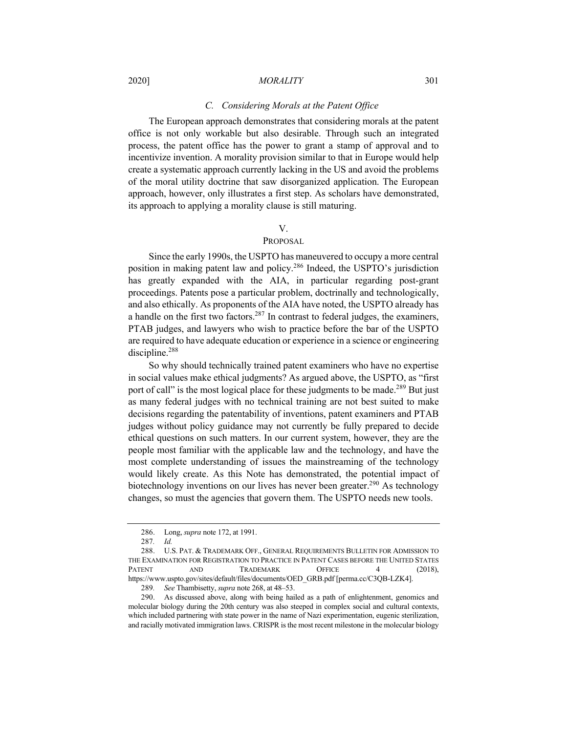## *C. Considering Morals at the Patent Office*

The European approach demonstrates that considering morals at the patent office is not only workable but also desirable. Through such an integrated process, the patent office has the power to grant a stamp of approval and to incentivize invention. A morality provision similar to that in Europe would help create a systematic approach currently lacking in the US and avoid the problems of the moral utility doctrine that saw disorganized application. The European approach, however, only illustrates a first step. As scholars have demonstrated, its approach to applying a morality clause is still maturing.

## V.

# PROPOSAL

Since the early 1990s, the USPTO has maneuvered to occupy a more central position in making patent law and policy.286 Indeed, the USPTO's jurisdiction has greatly expanded with the AIA, in particular regarding post-grant proceedings. Patents pose a particular problem, doctrinally and technologically, and also ethically. As proponents of the AIA have noted, the USPTO already has a handle on the first two factors.<sup>287</sup> In contrast to federal judges, the examiners, PTAB judges, and lawyers who wish to practice before the bar of the USPTO are required to have adequate education or experience in a science or engineering discipline.<sup>288</sup>

So why should technically trained patent examiners who have no expertise in social values make ethical judgments? As argued above, the USPTO, as "first port of call" is the most logical place for these judgments to be made.<sup>289</sup> But just as many federal judges with no technical training are not best suited to make decisions regarding the patentability of inventions, patent examiners and PTAB judges without policy guidance may not currently be fully prepared to decide ethical questions on such matters. In our current system, however, they are the people most familiar with the applicable law and the technology, and have the most complete understanding of issues the mainstreaming of the technology would likely create. As this Note has demonstrated, the potential impact of biotechnology inventions on our lives has never been greater.<sup>290</sup> As technology changes, so must the agencies that govern them. The USPTO needs new tools.

<sup>286.</sup> Long, *supra* note 172, at 1991.

<sup>287</sup>*. Id.*

<sup>288.</sup> U.S. PAT. & TRADEMARK OFF., GENERAL REQUIREMENTS BULLETIN FOR ADMISSION TO THE EXAMINATION FOR REGISTRATION TO PRACTICE IN PATENT CASES BEFORE THE UNITED STATES PATENT AND TRADEMARK OFFICE 4 (2018), https://www.uspto.gov/sites/default/files/documents/OED\_GRB.pdf [perma.cc/C3QB-LZK4].

<sup>289</sup>*. See* Thambisetty, *supra* note 268, at 48–53.

<sup>290.</sup> As discussed above, along with being hailed as a path of enlightenment, genomics and molecular biology during the 20th century was also steeped in complex social and cultural contexts, which included partnering with state power in the name of Nazi experimentation, eugenic sterilization, and racially motivated immigration laws. CRISPR is the most recent milestone in the molecular biology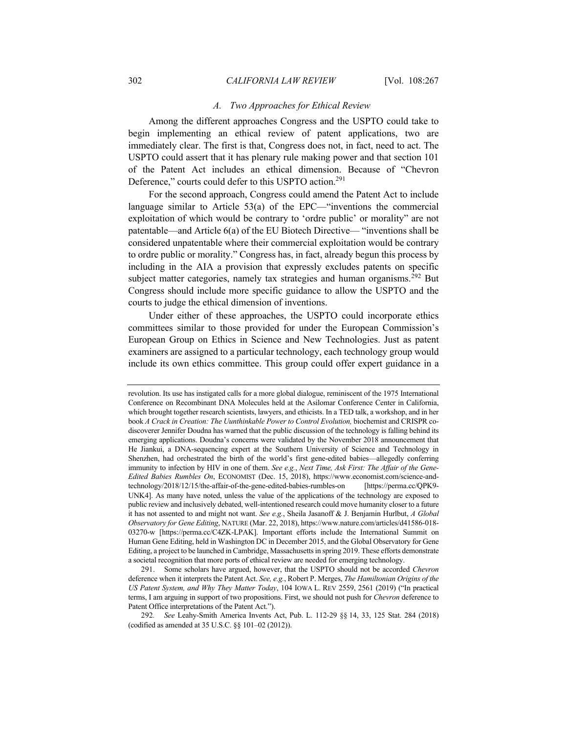## *A. Two Approaches for Ethical Review*

Among the different approaches Congress and the USPTO could take to begin implementing an ethical review of patent applications, two are immediately clear. The first is that, Congress does not, in fact, need to act. The USPTO could assert that it has plenary rule making power and that section 101 of the Patent Act includes an ethical dimension. Because of "Chevron Deference," courts could defer to this USPTO action.<sup>291</sup>

For the second approach, Congress could amend the Patent Act to include language similar to Article 53(a) of the EPC—"inventions the commercial exploitation of which would be contrary to 'ordre public' or morality" are not patentable—and Article 6(a) of the EU Biotech Directive— "inventions shall be considered unpatentable where their commercial exploitation would be contrary to ordre public or morality." Congress has, in fact, already begun this process by including in the AIA a provision that expressly excludes patents on specific subject matter categories, namely tax strategies and human organisms.<sup>292</sup> But Congress should include more specific guidance to allow the USPTO and the courts to judge the ethical dimension of inventions.

Under either of these approaches, the USPTO could incorporate ethics committees similar to those provided for under the European Commission's European Group on Ethics in Science and New Technologies. Just as patent examiners are assigned to a particular technology, each technology group would include its own ethics committee. This group could offer expert guidance in a

revolution. Its use has instigated calls for a more global dialogue, reminiscent of the 1975 International Conference on Recombinant DNA Molecules held at the Asilomar Conference Center in California, which brought together research scientists, lawyers, and ethicists. In a TED talk, a workshop, and in her book *A Crack in Creation: The Uunthinkable Power to Control Evolution,* biochemist and CRISPR codiscoverer Jennifer Doudna has warned that the public discussion of the technology is falling behind its emerging applications. Doudna's concerns were validated by the November 2018 announcement that He Jiankui, a DNA-sequencing expert at the Southern University of Science and Technology in Shenzhen, had orchestrated the birth of the world's first gene-edited babies—allegedly conferring immunity to infection by HIV in one of them. *See e.g.*, *Next Time, Ask First: The Affair of the Gene-Edited Babies Rumbles On*, ECONOMIST (Dec. 15, 2018), https://www.economist.com/science-andtechnology/2018/12/15/the-affair-of-the-gene-edited-babies-rumbles-on [https://perma.cc/QPK9- UNK4]. As many have noted, unless the value of the applications of the technology are exposed to public review and inclusively debated, well-intentioned research could move humanity closer to a future it has not assented to and might not want. *See e.g.*, Sheila Jasanoff & J. Benjamin Hurlbut, *A Global Observatory for Gene Editing*, NATURE (Mar. 22, 2018), https://www.nature.com/articles/d41586-018- 03270-w [https://perma.cc/C4ZK-LPAK]. Important efforts include the International Summit on Human Gene Editing, held in Washington DC in December 2015, and the Global Observatory for Gene Editing, a project to be launched in Cambridge, Massachusetts in spring 2019. These efforts demonstrate a societal recognition that more ports of ethical review are needed for emerging technology.

<sup>291.</sup> Some scholars have argued, however, that the USPTO should not be accorded *Chevron* deference when it interprets the Patent Act. *See, e.g.*, Robert P. Merges, *The Hamiltonian Origins of the US Patent System, and Why They Matter Today*, 104 IOWA L. REV 2559, 2561 (2019) ("In practical terms, I am arguing in support of two propositions. First, we should not push for *Chevron* deference to Patent Office interpretations of the Patent Act.").

<sup>292</sup>*. See* Leahy-Smith America Invents Act, Pub. L. 112-29 §§ 14, 33, 125 Stat. 284 (2018) (codified as amended at 35 U.S.C. §§ 101–02 (2012)).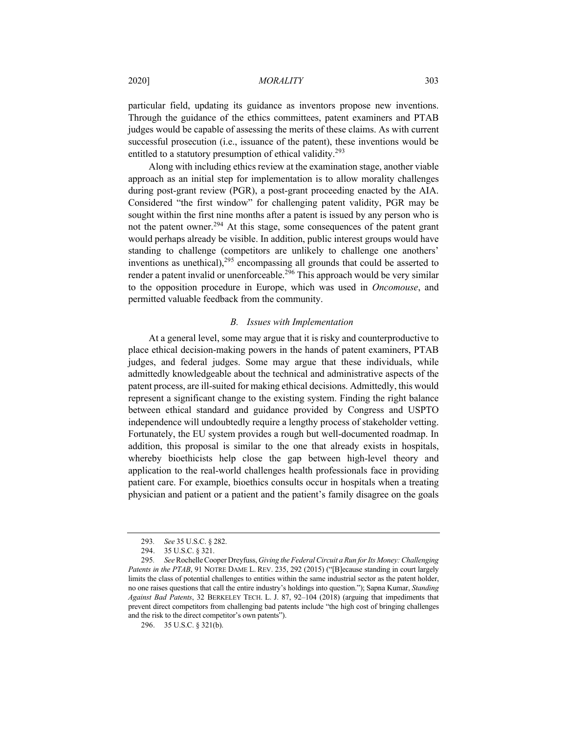2020] *MORALITY* 303

particular field, updating its guidance as inventors propose new inventions. Through the guidance of the ethics committees, patent examiners and PTAB judges would be capable of assessing the merits of these claims. As with current successful prosecution (i.e., issuance of the patent), these inventions would be entitled to a statutory presumption of ethical validity.<sup>293</sup>

Along with including ethics review at the examination stage, another viable approach as an initial step for implementation is to allow morality challenges during post-grant review (PGR), a post-grant proceeding enacted by the AIA. Considered "the first window" for challenging patent validity, PGR may be sought within the first nine months after a patent is issued by any person who is not the patent owner.<sup>294</sup> At this stage, some consequences of the patent grant would perhaps already be visible. In addition, public interest groups would have standing to challenge (competitors are unlikely to challenge one anothers' inventions as unethical),  $295$  encompassing all grounds that could be asserted to render a patent invalid or unenforceable.<sup>296</sup> This approach would be very similar to the opposition procedure in Europe, which was used in *Oncomouse*, and permitted valuable feedback from the community.

## *B. Issues with Implementation*

At a general level, some may argue that it is risky and counterproductive to place ethical decision-making powers in the hands of patent examiners, PTAB judges, and federal judges. Some may argue that these individuals, while admittedly knowledgeable about the technical and administrative aspects of the patent process, are ill-suited for making ethical decisions. Admittedly, this would represent a significant change to the existing system. Finding the right balance between ethical standard and guidance provided by Congress and USPTO independence will undoubtedly require a lengthy process of stakeholder vetting. Fortunately, the EU system provides a rough but well-documented roadmap. In addition, this proposal is similar to the one that already exists in hospitals, whereby bioethicists help close the gap between high-level theory and application to the real-world challenges health professionals face in providing patient care. For example, bioethics consults occur in hospitals when a treating physician and patient or a patient and the patient's family disagree on the goals

<sup>293</sup>*. See* 35 U.S.C. § 282.

<sup>294.</sup> 35 U.S.C. § 321.

<sup>295</sup>*. See*Rochelle Cooper Dreyfuss, *Giving the Federal Circuit a Run for Its Money: Challenging Patents in the PTAB*, 91 NOTRE DAME L. REV. 235, 292 (2015) ("[B]ecause standing in court largely limits the class of potential challenges to entities within the same industrial sector as the patent holder, no one raises questions that call the entire industry's holdings into question."); Sapna Kumar, *Standing Against Bad Patents*, 32 BERKELEY TECH. L. J. 87, 92–104 (2018) (arguing that impediments that prevent direct competitors from challenging bad patents include "the high cost of bringing challenges and the risk to the direct competitor's own patents").

<sup>296.</sup> 35 U.S.C. § 321(b).